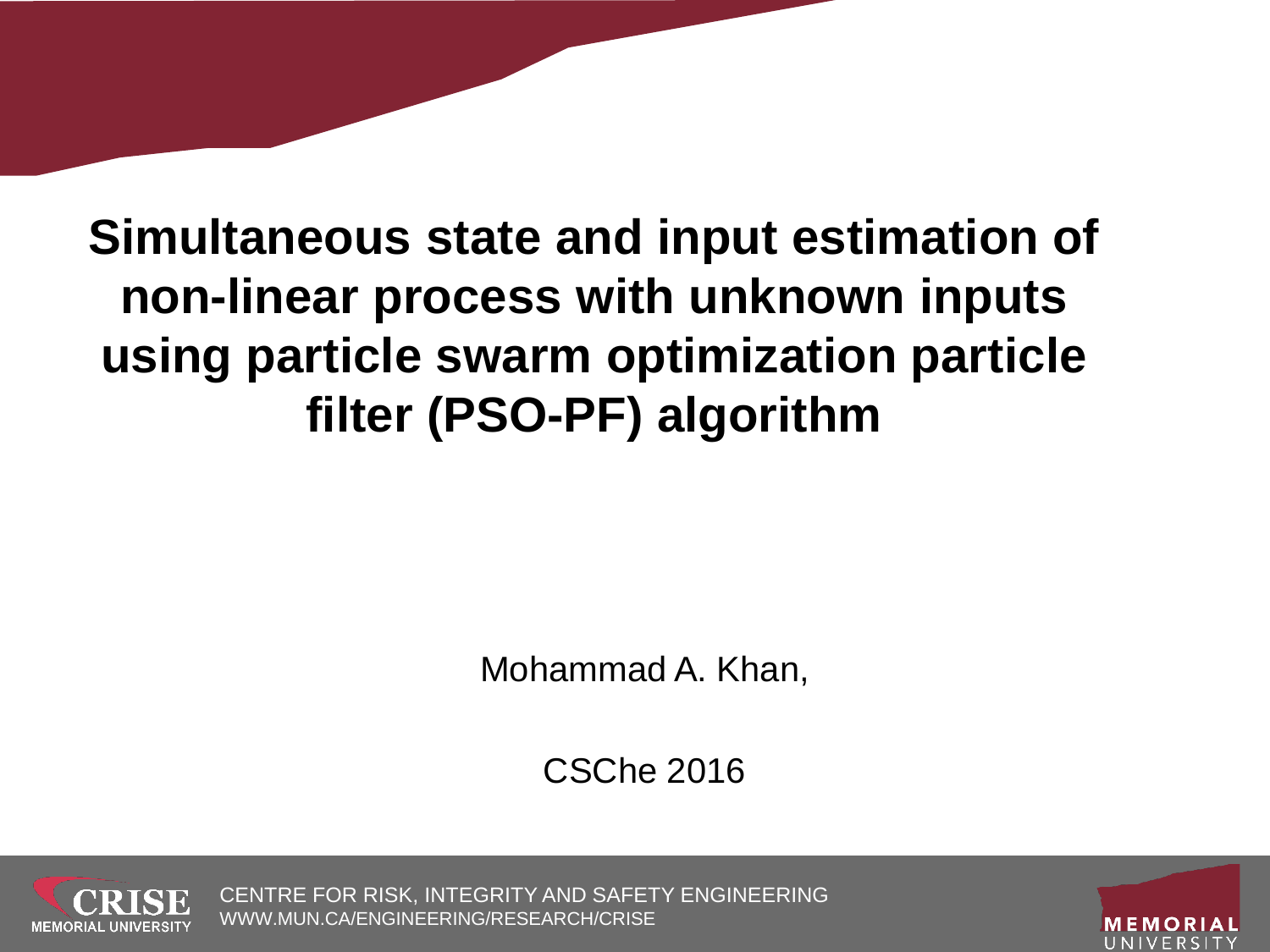#### **Simultaneous state and input estimation of non-linear process with unknown inputs using particle swarm optimization particle filter (PSO-PF) algorithm**

Mohammad A. Khan,

CSChe 2016



CENTRE FOR RISK, INTEGRITY AND SAFETY ENGINEERING WWW.MUN.CA/ENGINEERING/RESEARCH/CRISE

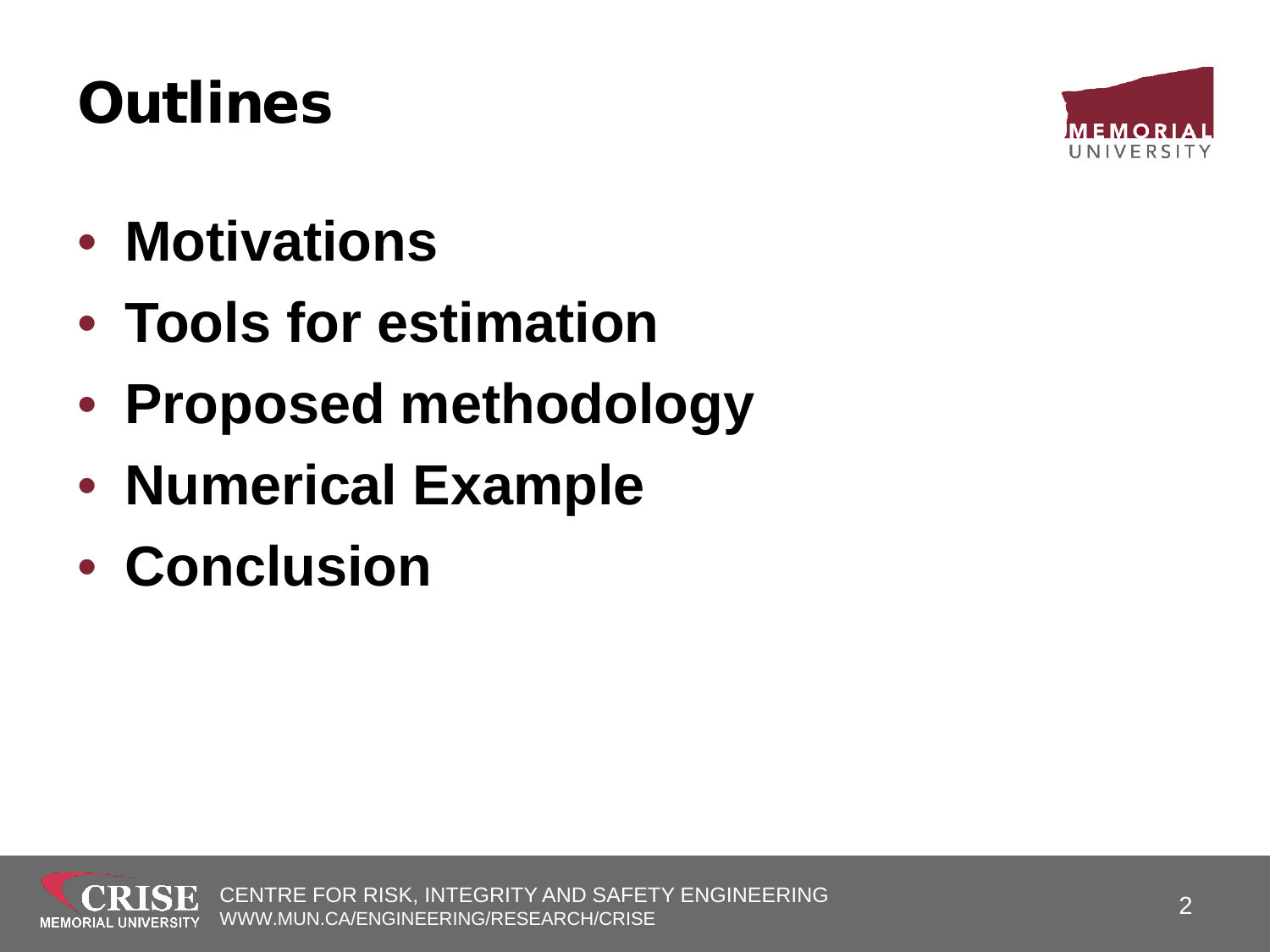#### **Outlines**



- **Motivations**
- **Tools for estimation**
- **Proposed methodology**
- **Numerical Example**
- **Conclusion**

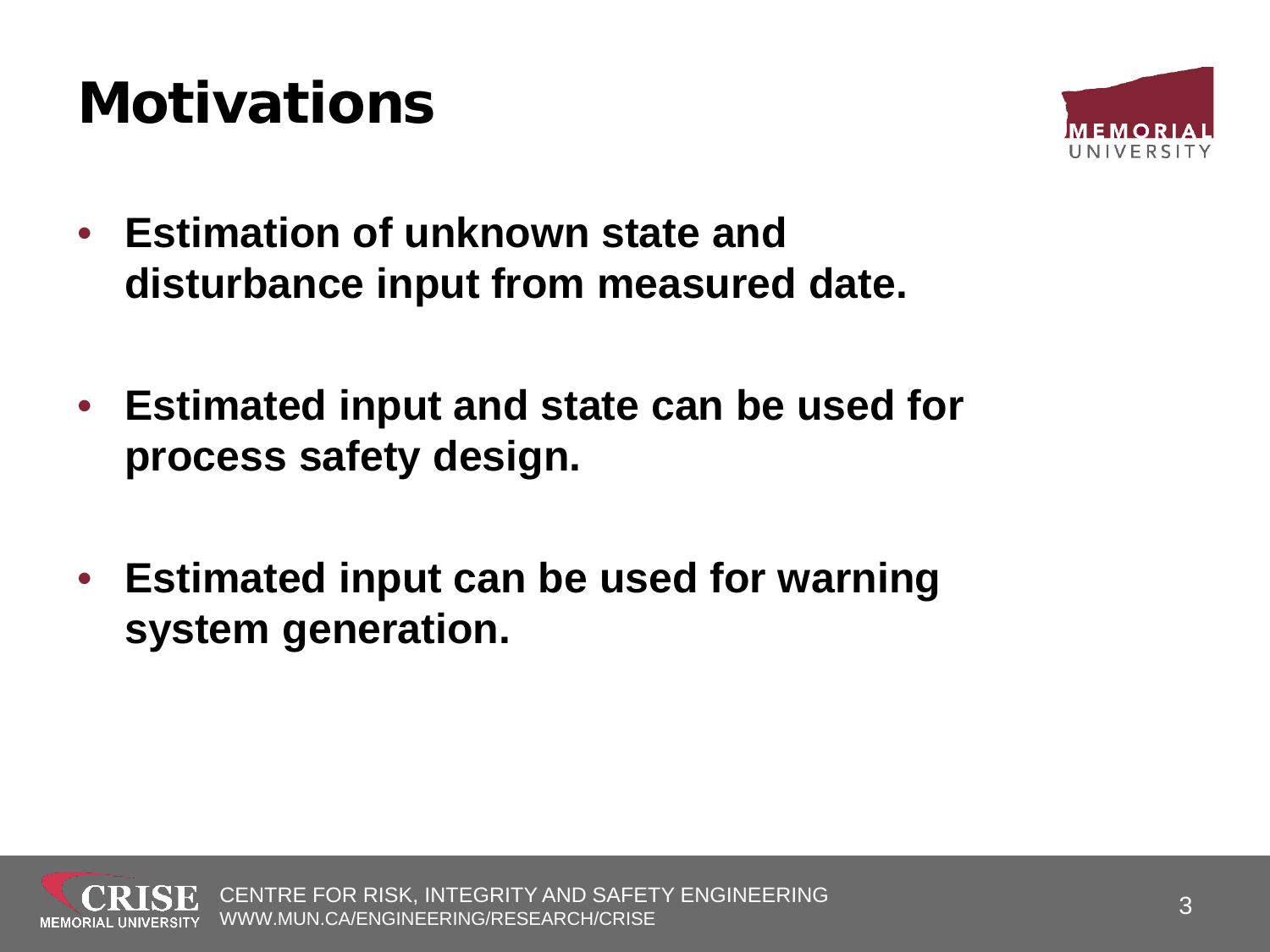#### **Motivations**



- **Estimation of unknown state and disturbance input from measured date.**
- **Estimated input and state can be used for process safety design.**
- **Estimated input can be used for warning system generation.**

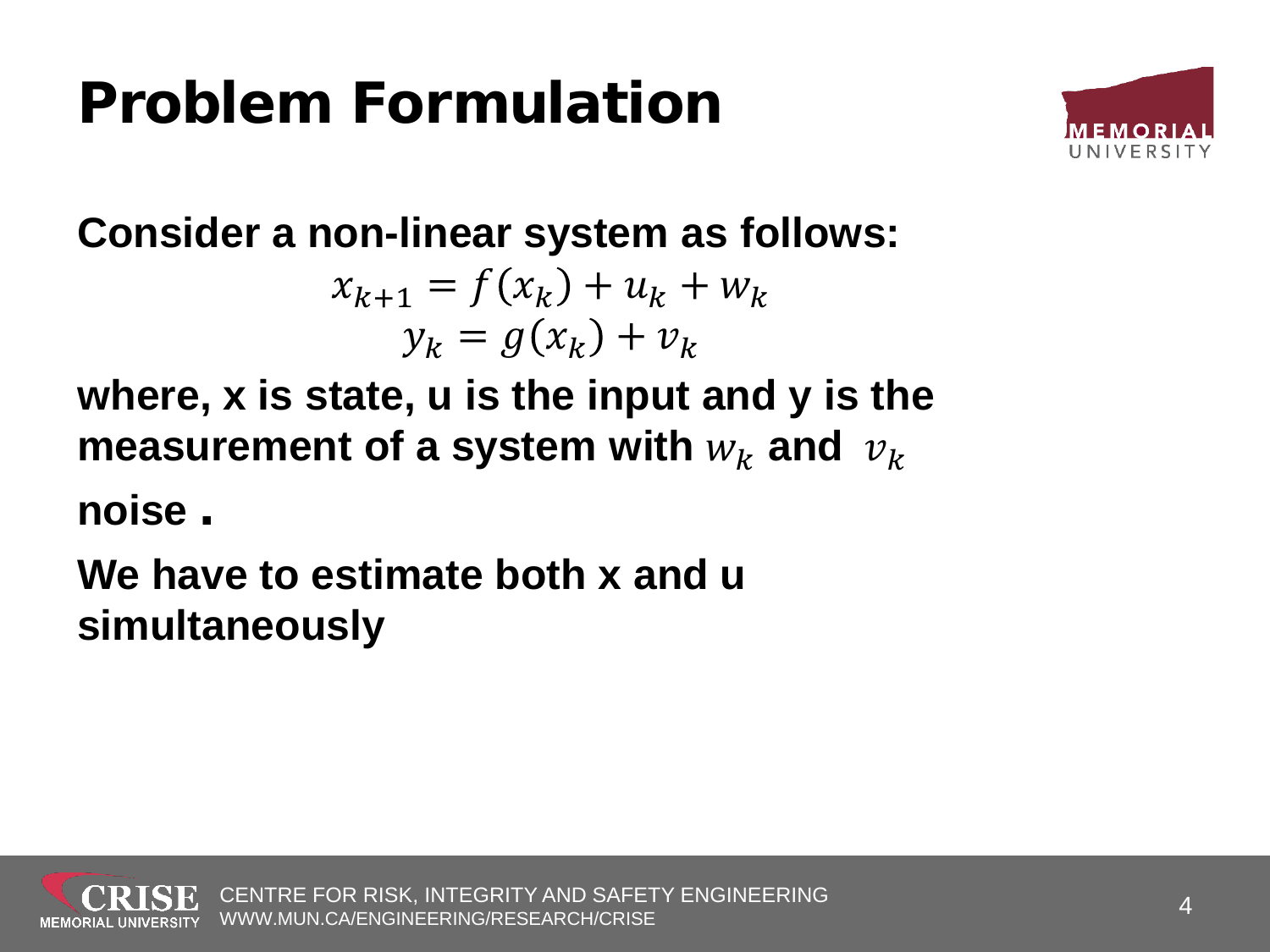#### Problem Formulation



**Consider a non-linear system as follows:**

$$
x_{k+1} = f(x_k) + u_k + w_k
$$
  

$$
y_k = g(x_k) + v_k
$$

**where, x is state, u is the input and y is the measurement of a system with**  $w_k$  **and**  $v_k$ 

**noise .**

**We have to estimate both x and u simultaneously**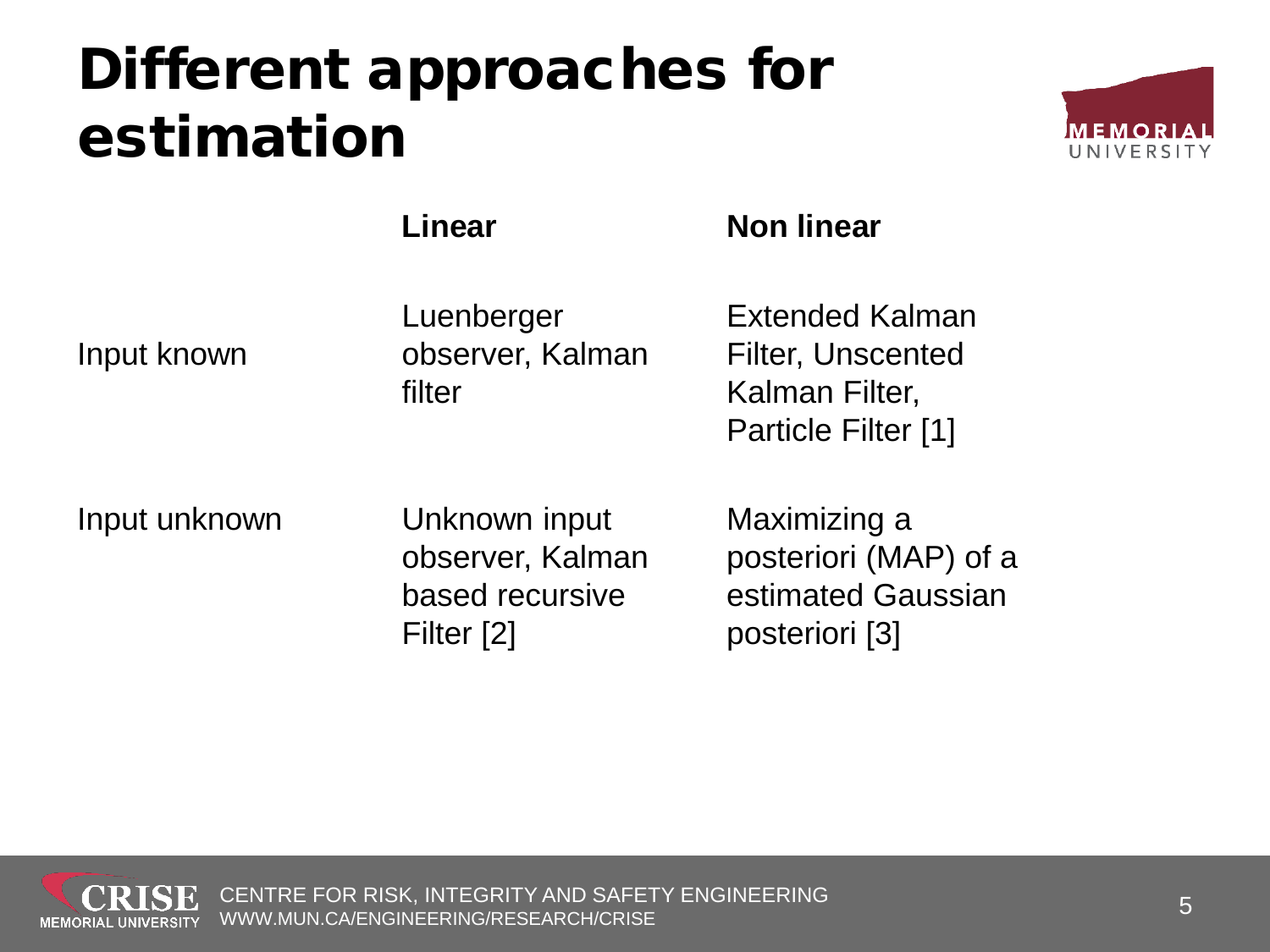#### Different approaches for estimation



**Linear** Non linear

#### Input known

Luenberger observer, Kalman filter

Extended Kalman Filter, Unscented Kalman Filter, Particle Filter [1]

#### Input unknown Unknown input

observer, Kalman based recursive Filter [2]

Maximizing a posteriori (MAP) of a estimated Gaussian posteriori [3]

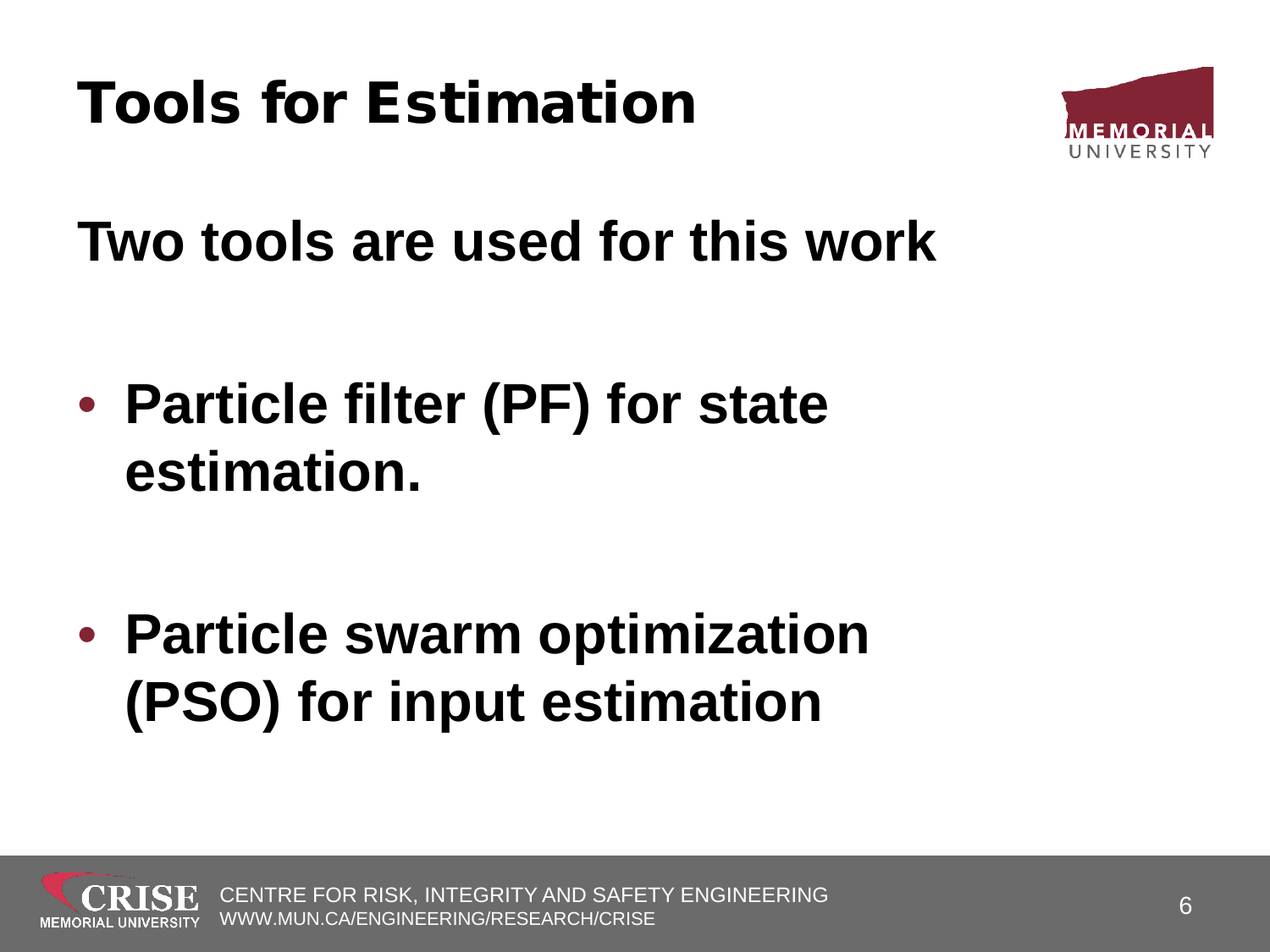

**Two tools are used for this work**

• **Particle filter (PF) for state estimation.**

• **Particle swarm optimization (PSO) for input estimation** 

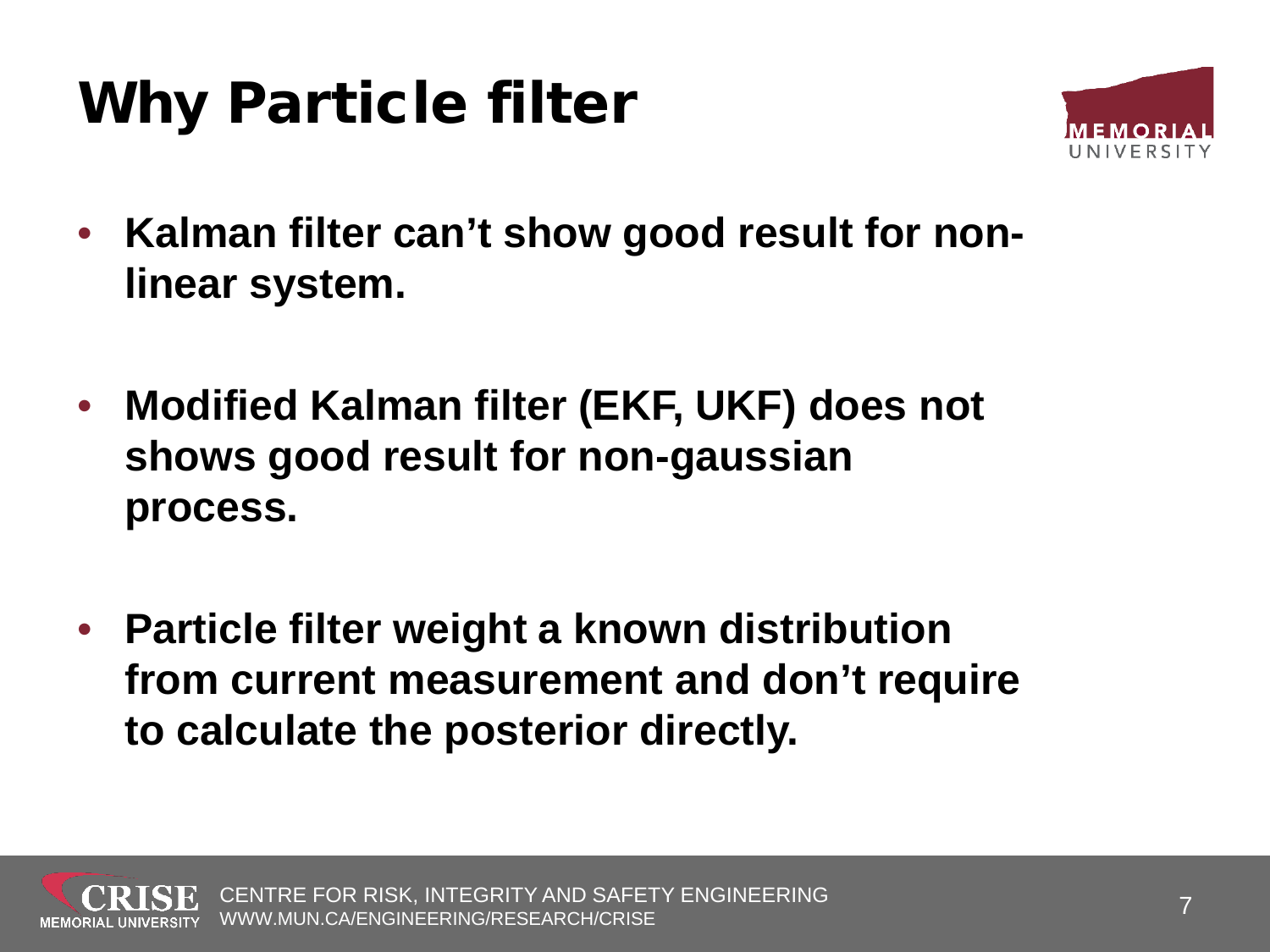#### Why Particle filter



- **Kalman filter can't show good result for nonlinear system.**
- **Modified Kalman filter (EKF, UKF) does not shows good result for non-gaussian process.**
- **Particle filter weight a known distribution from current measurement and don't require to calculate the posterior directly.**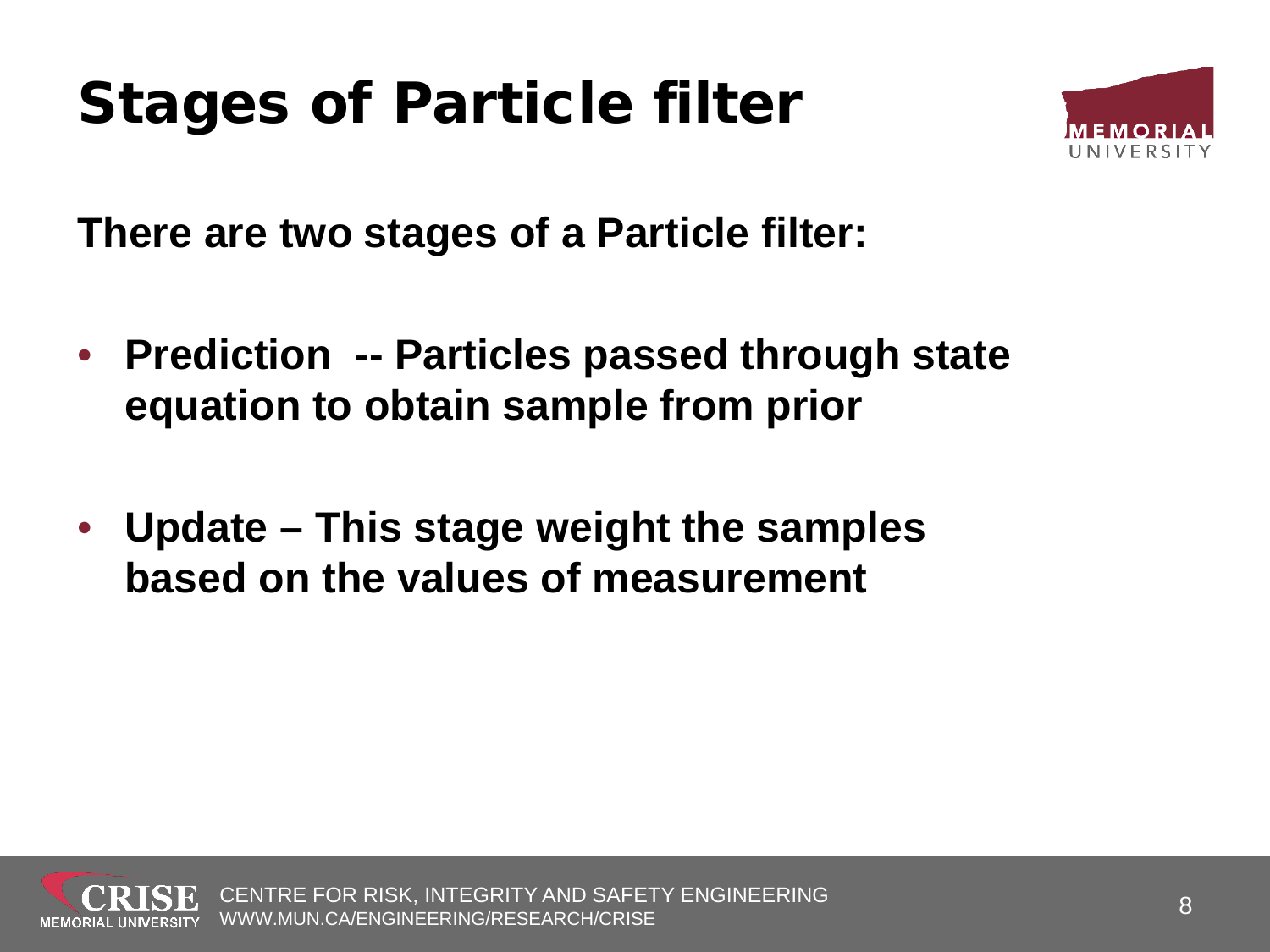#### Stages of Particle filter



**There are two stages of a Particle filter:**

- **Prediction -- Particles passed through state equation to obtain sample from prior**
- **Update – This stage weight the samples based on the values of measurement**

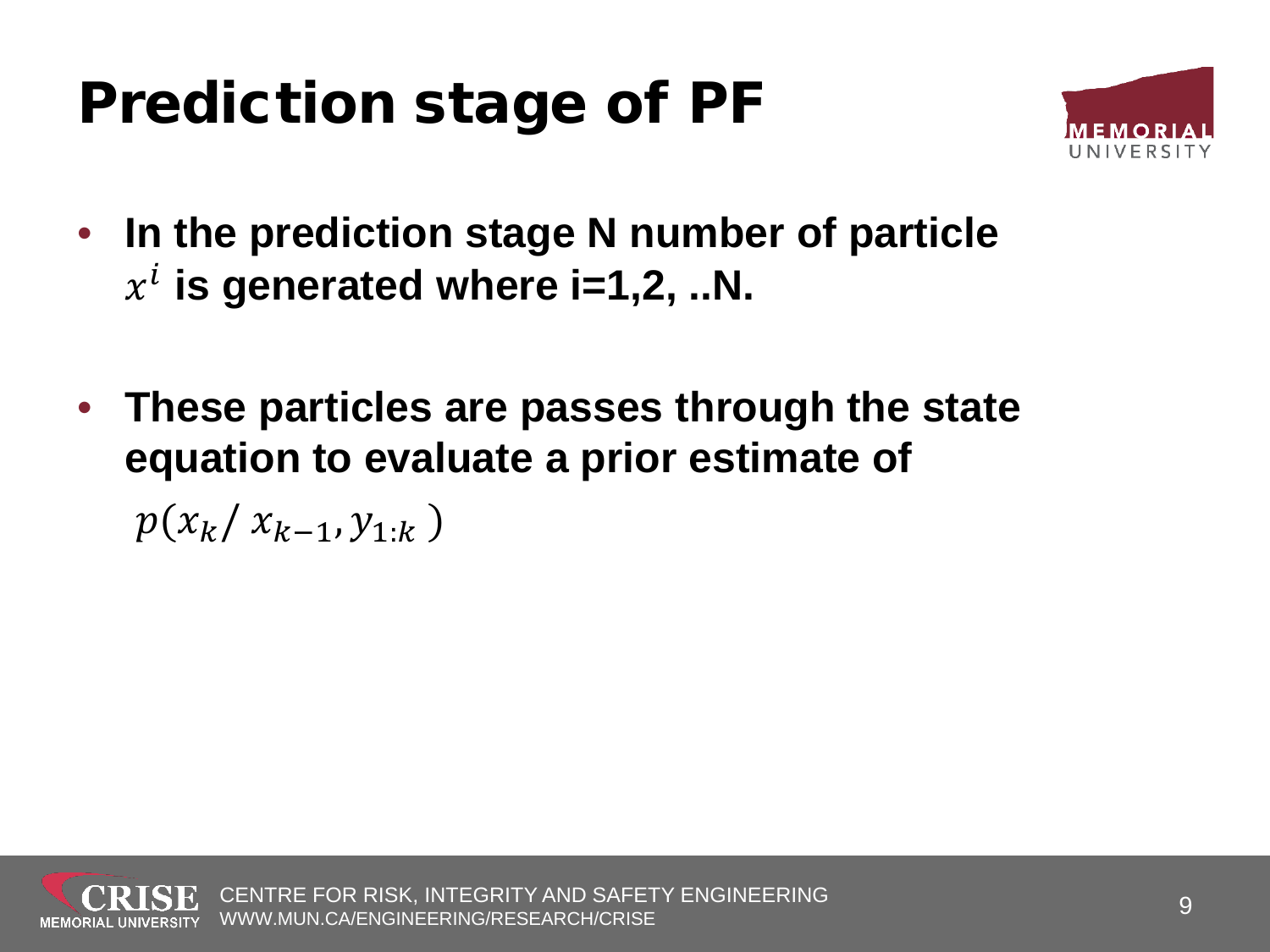#### Prediction stage of PF



- **In the prediction stage N number of particle**   $x^i$  is generated where i=1,2, ..N.
- **These particles are passes through the state equation to evaluate a prior estimate of**

 $p(x_k / x_{k-1}, y_{1:k})$ 

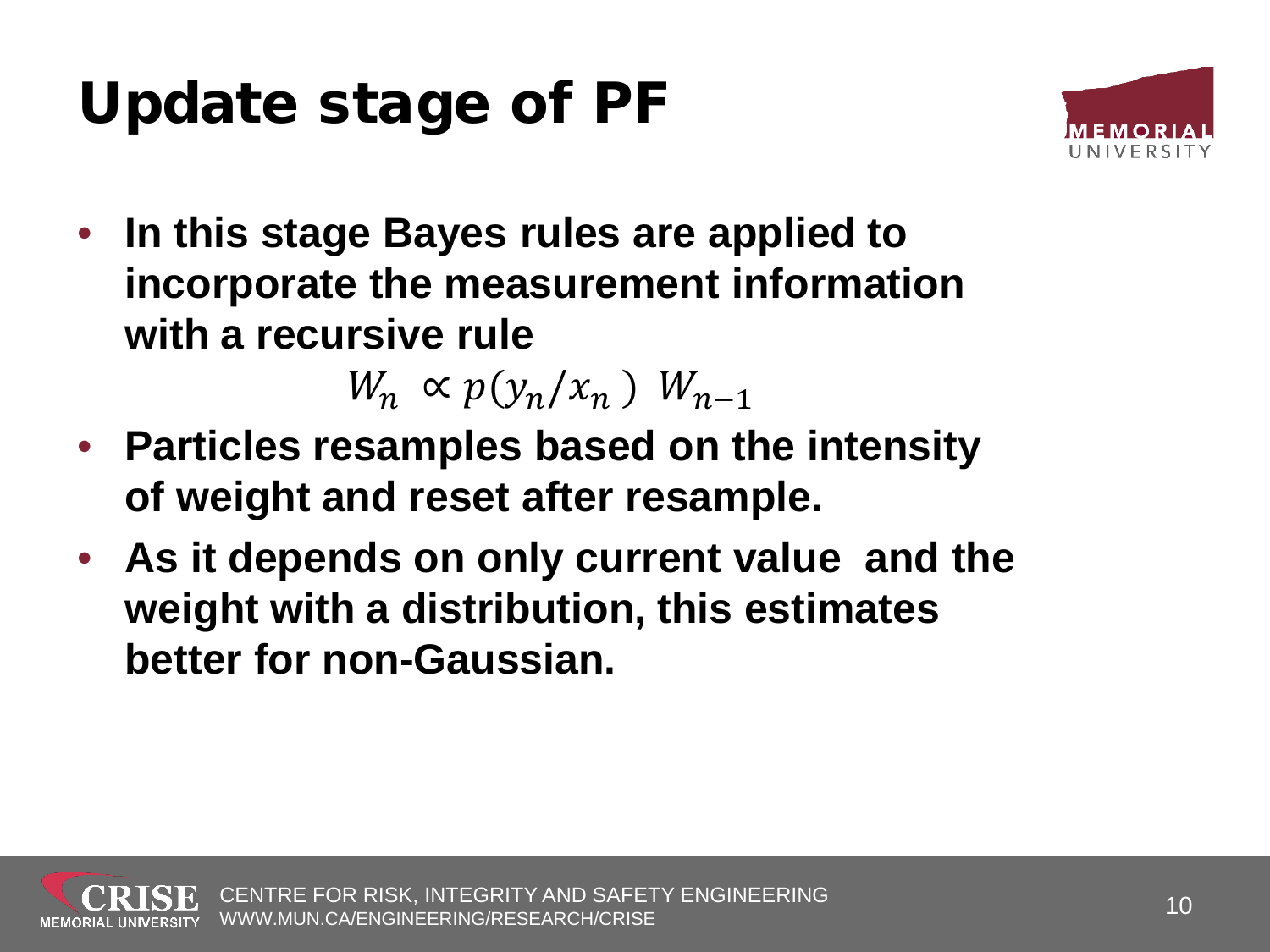### Update stage of PF



• **In this stage Bayes rules are applied to incorporate the measurement information with a recursive rule** 

 $W_n \propto p(y_n / x_n) W_{n-1}$ 

- **Particles resamples based on the intensity of weight and reset after resample.**
- **As it depends on only current value and the weight with a distribution, this estimates better for non-Gaussian.**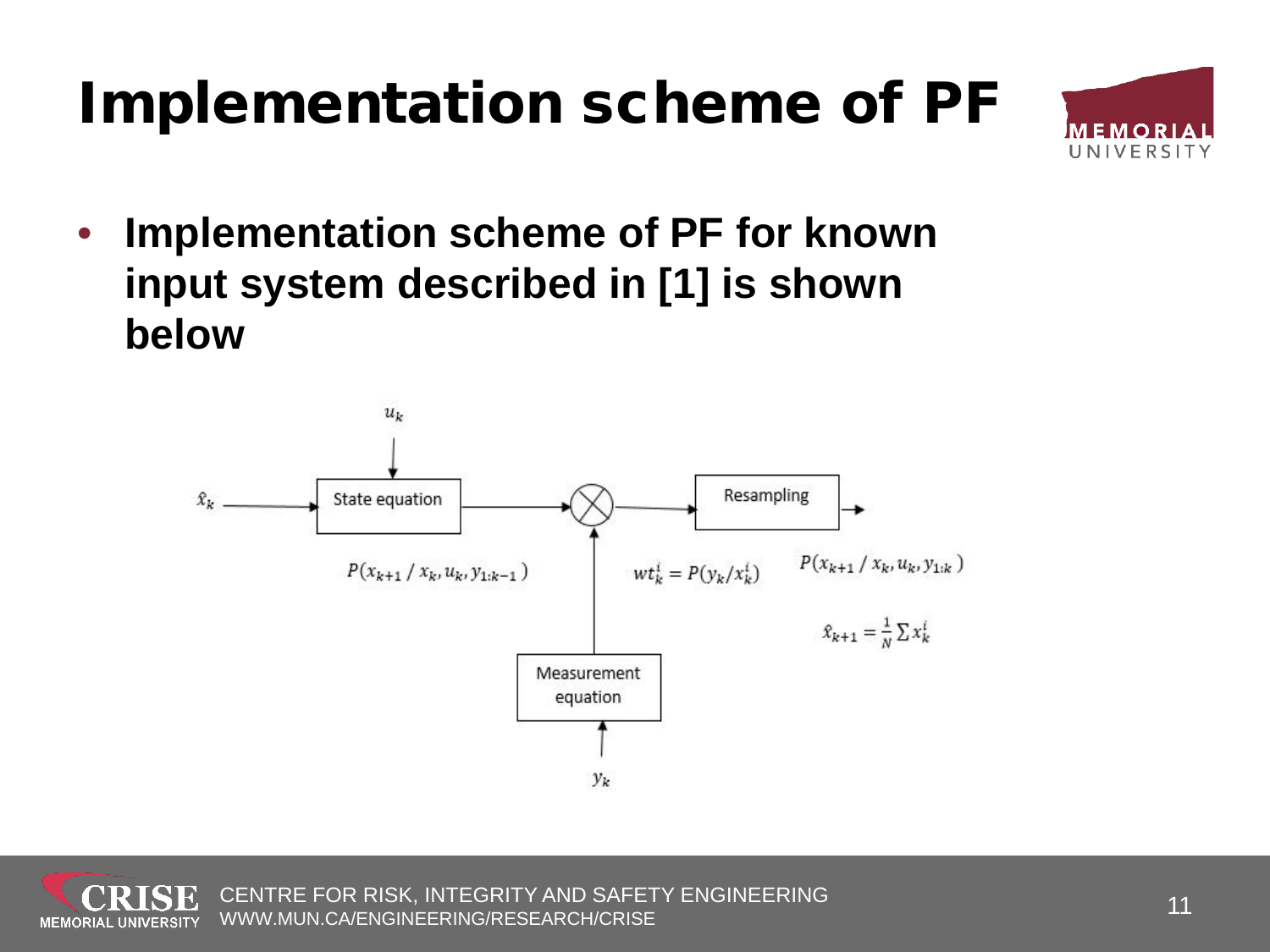#### Implementation scheme of PF



• **Implementation scheme of PF for known input system described in [1] is shown below**

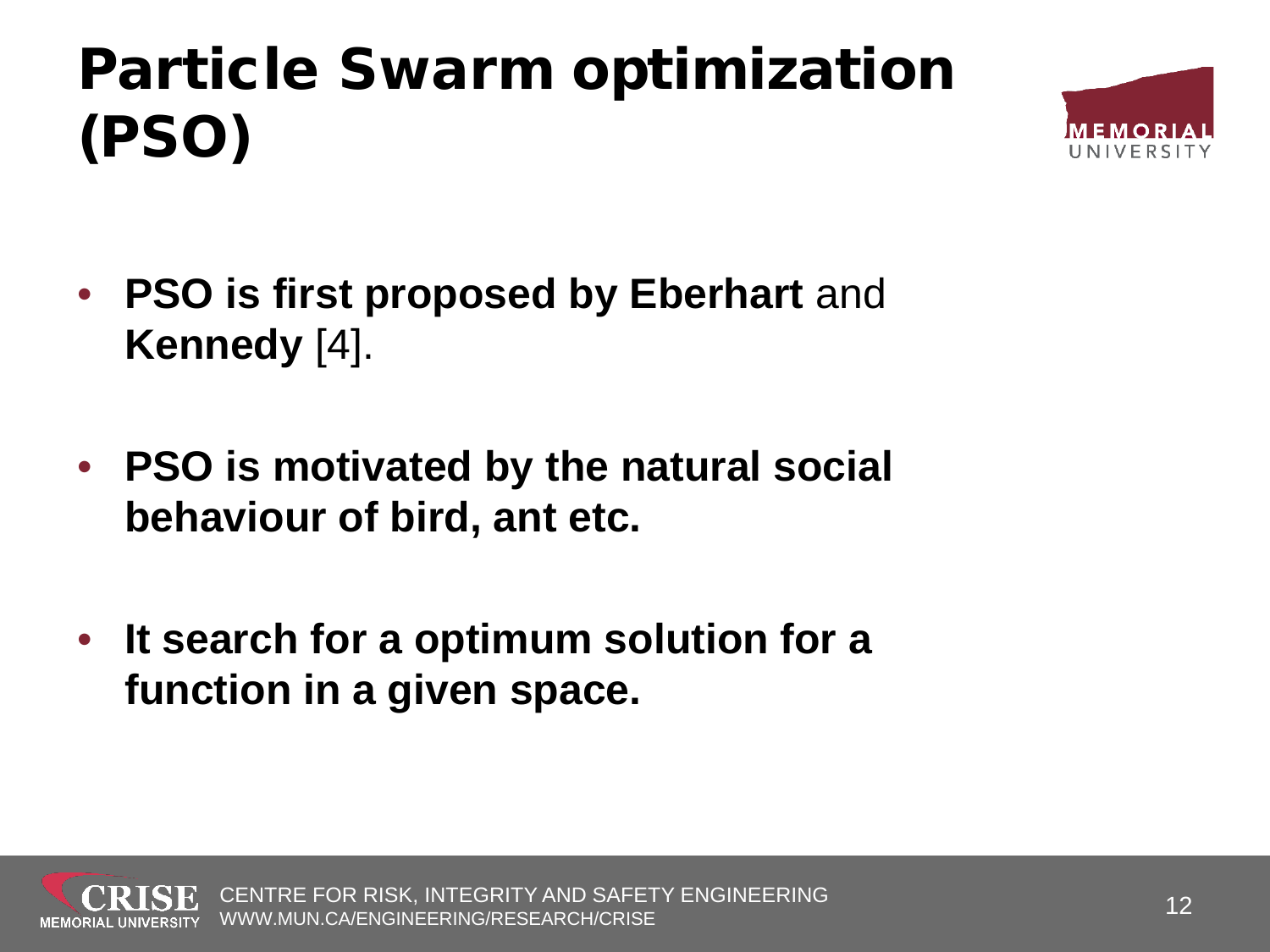## Particle Swarm optimization (PSO)



- **PSO is first proposed by Eberhart** and **Kennedy** [4].
- **PSO is motivated by the natural social behaviour of bird, ant etc.**
- **It search for a optimum solution for a function in a given space.**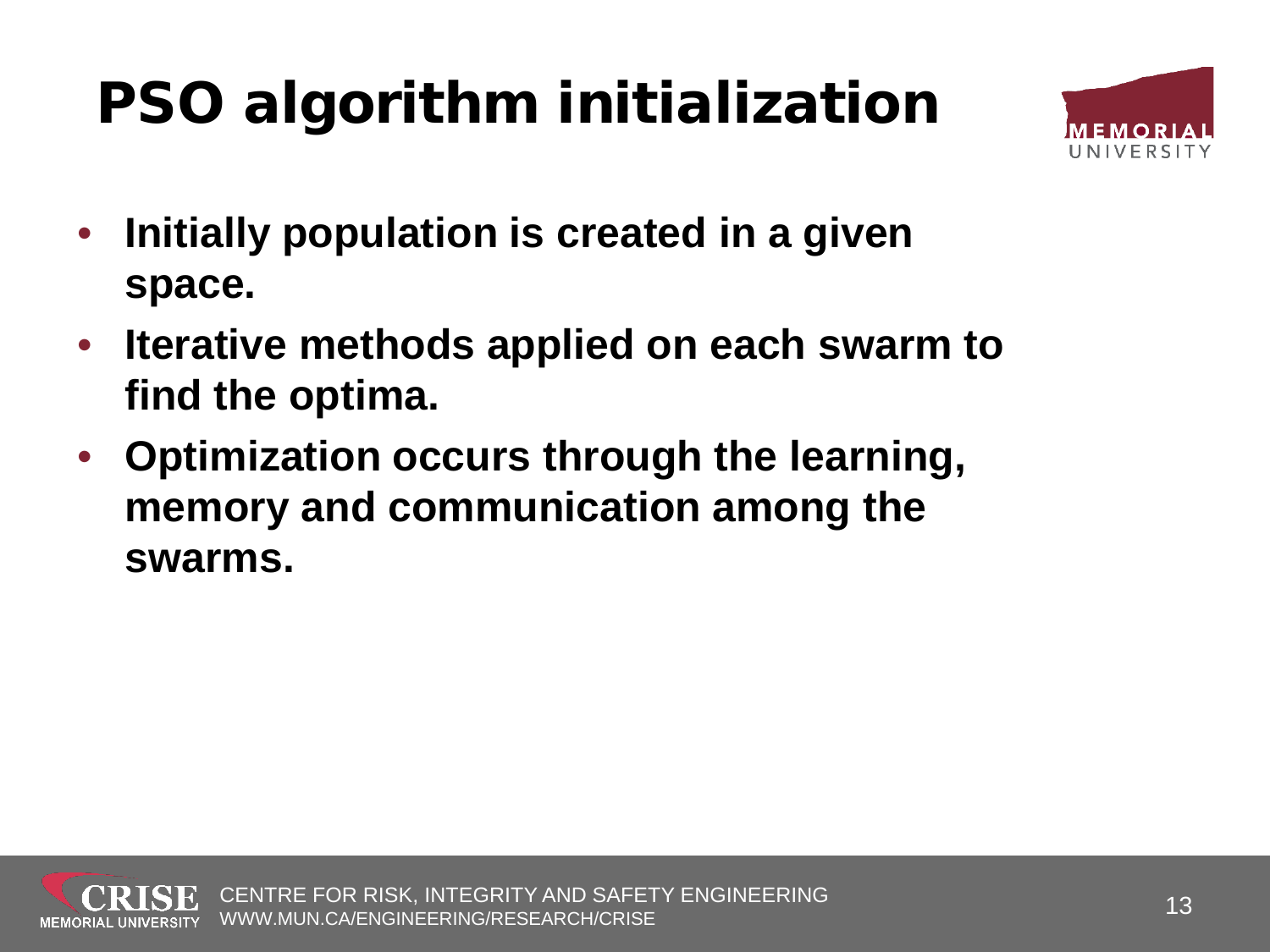# PSO algorithm initialization



- **Initially population is created in a given space.**
- **Iterative methods applied on each swarm to find the optima.**
- **Optimization occurs through the learning, memory and communication among the swarms.**

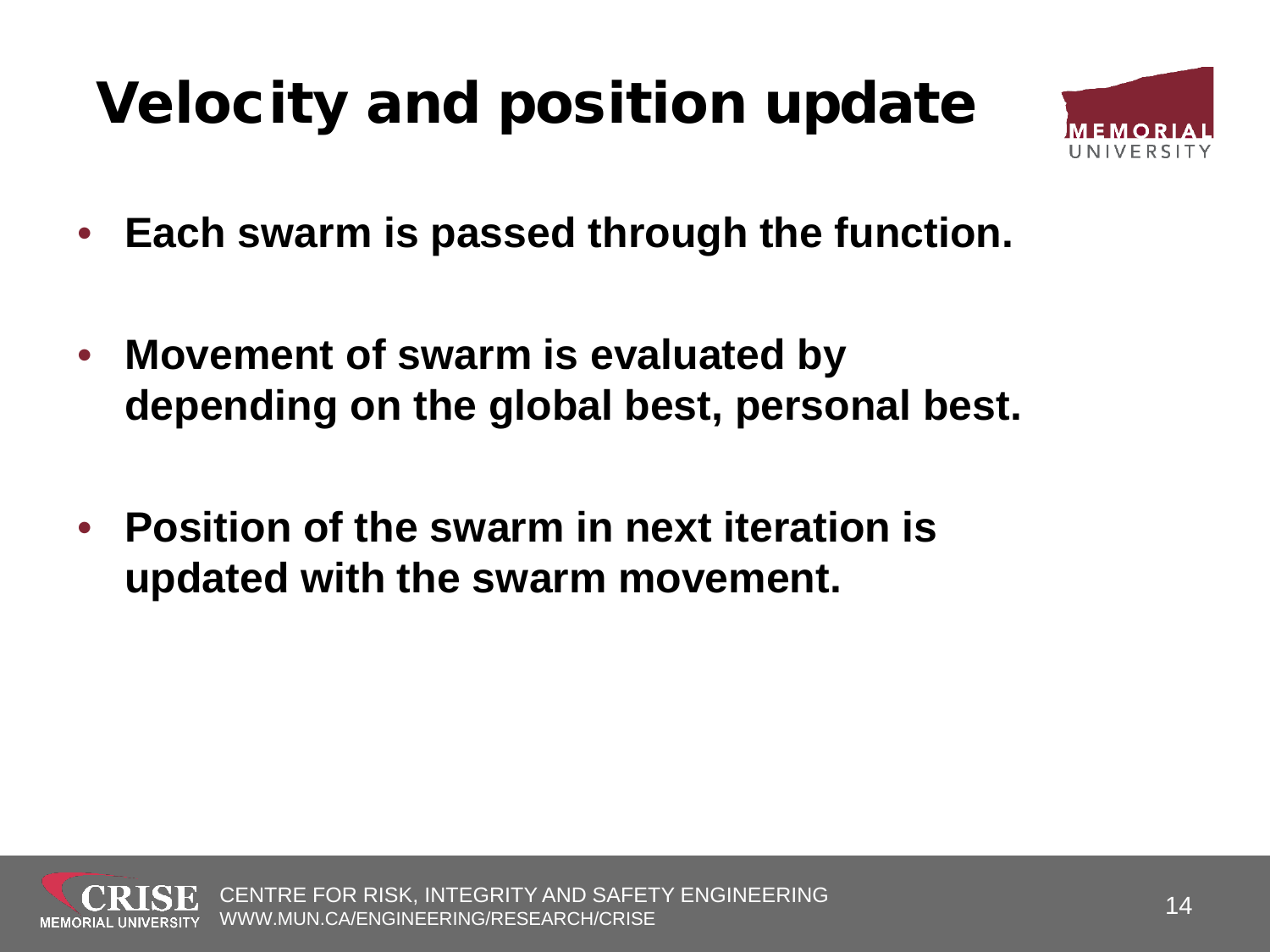## Velocity and position update



- **Each swarm is passed through the function.**
- **Movement of swarm is evaluated by depending on the global best, personal best.**
- **Position of the swarm in next iteration is updated with the swarm movement.**

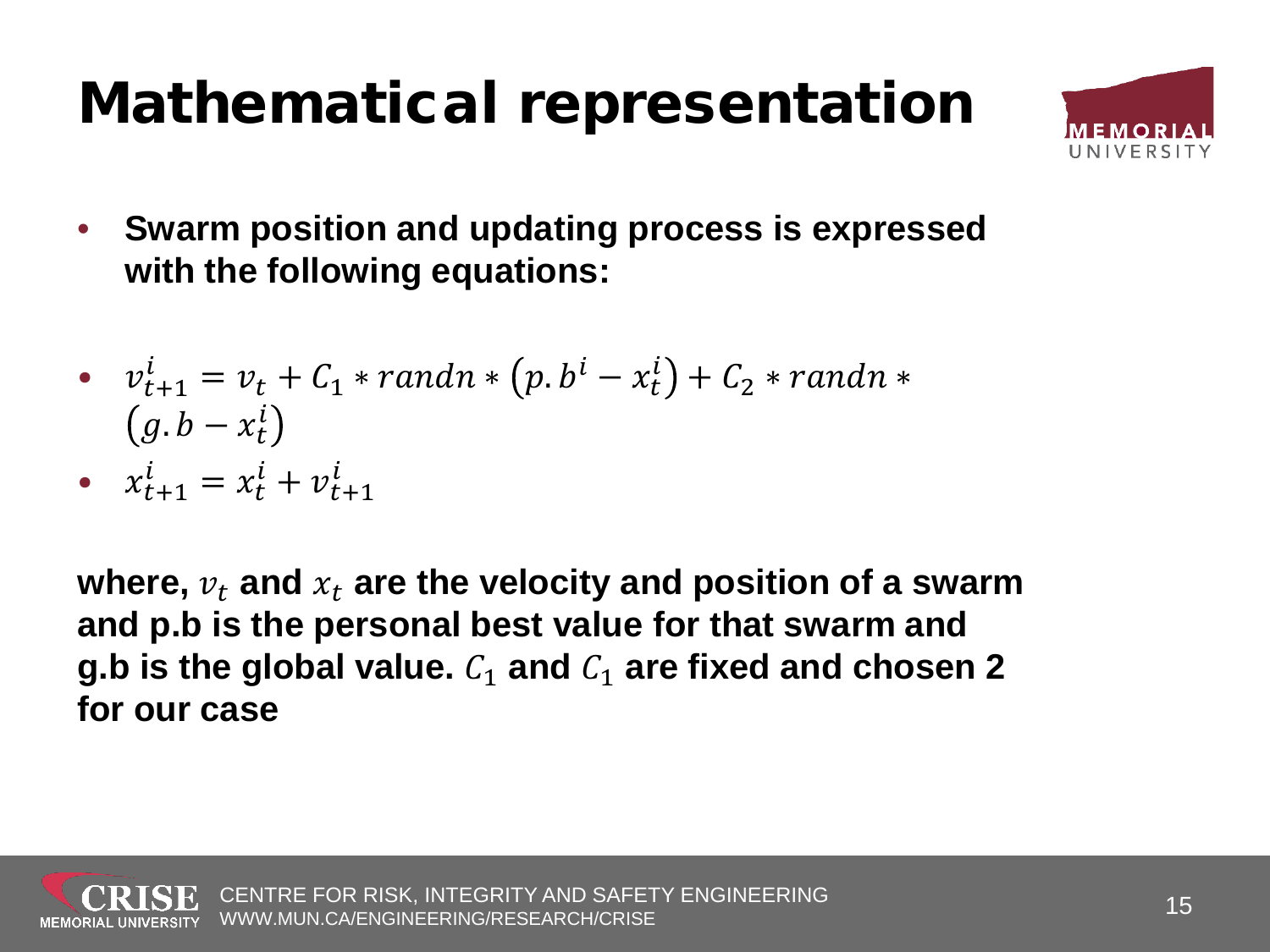#### Mathematical representation



• **Swarm position and updating process is expressed with the following equations:**

• 
$$
v_{t+1}^i = v_t + C_1 * randn * (p.b^i - x_t^i) + C_2 * randn * (g.b - x_t^i)
$$

•  $x_{t+1}^l = x_t^l + v_{t+1}^l$ 

where,  $v_t$  and  $x_t$  are the velocity and position of a swarm **and p.b is the personal best value for that swarm and g.b** is the global value.  $C_1$  and  $C_1$  are fixed and chosen 2 **for our case**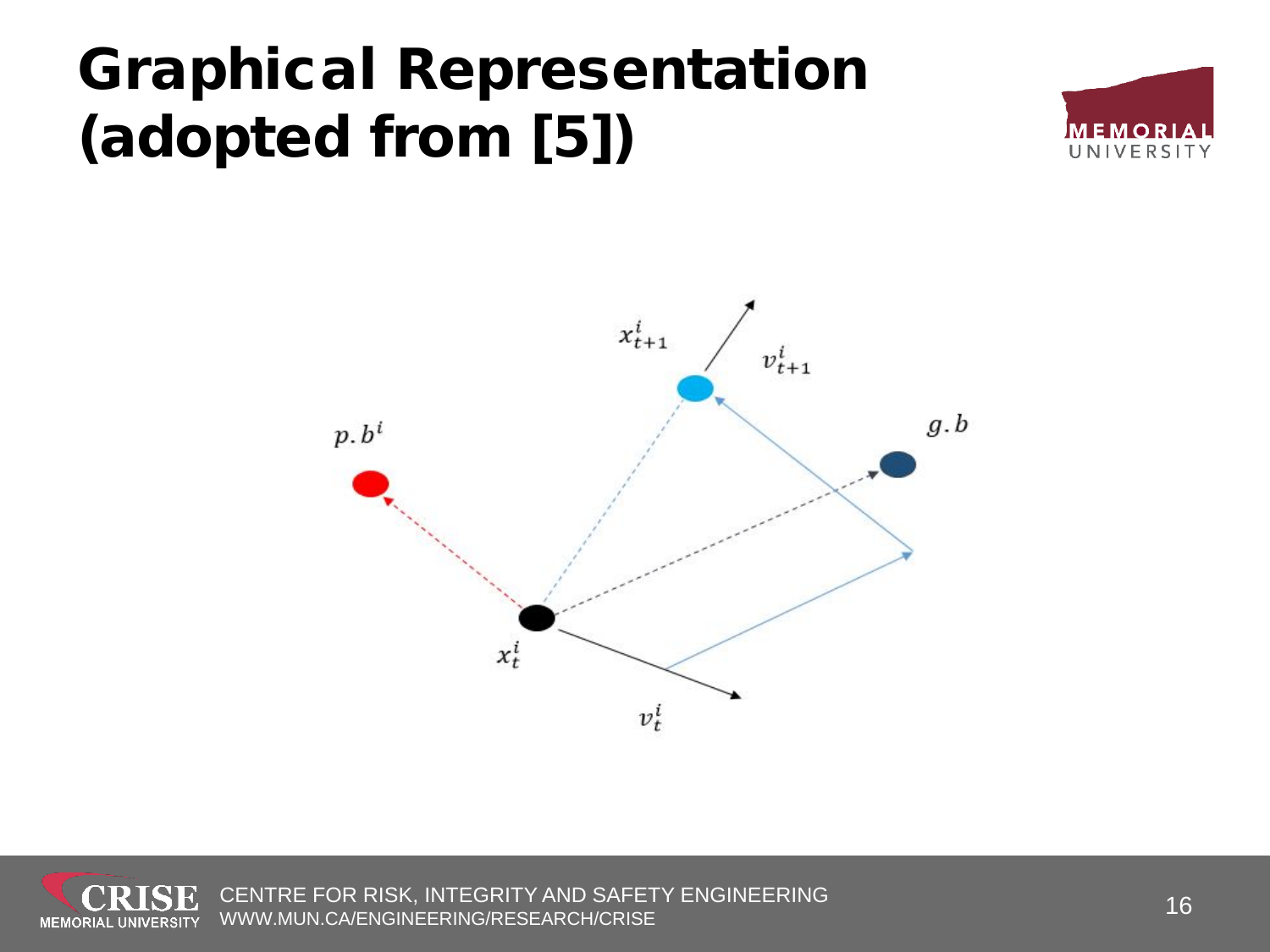#### Graphical Representation (adopted from [5])





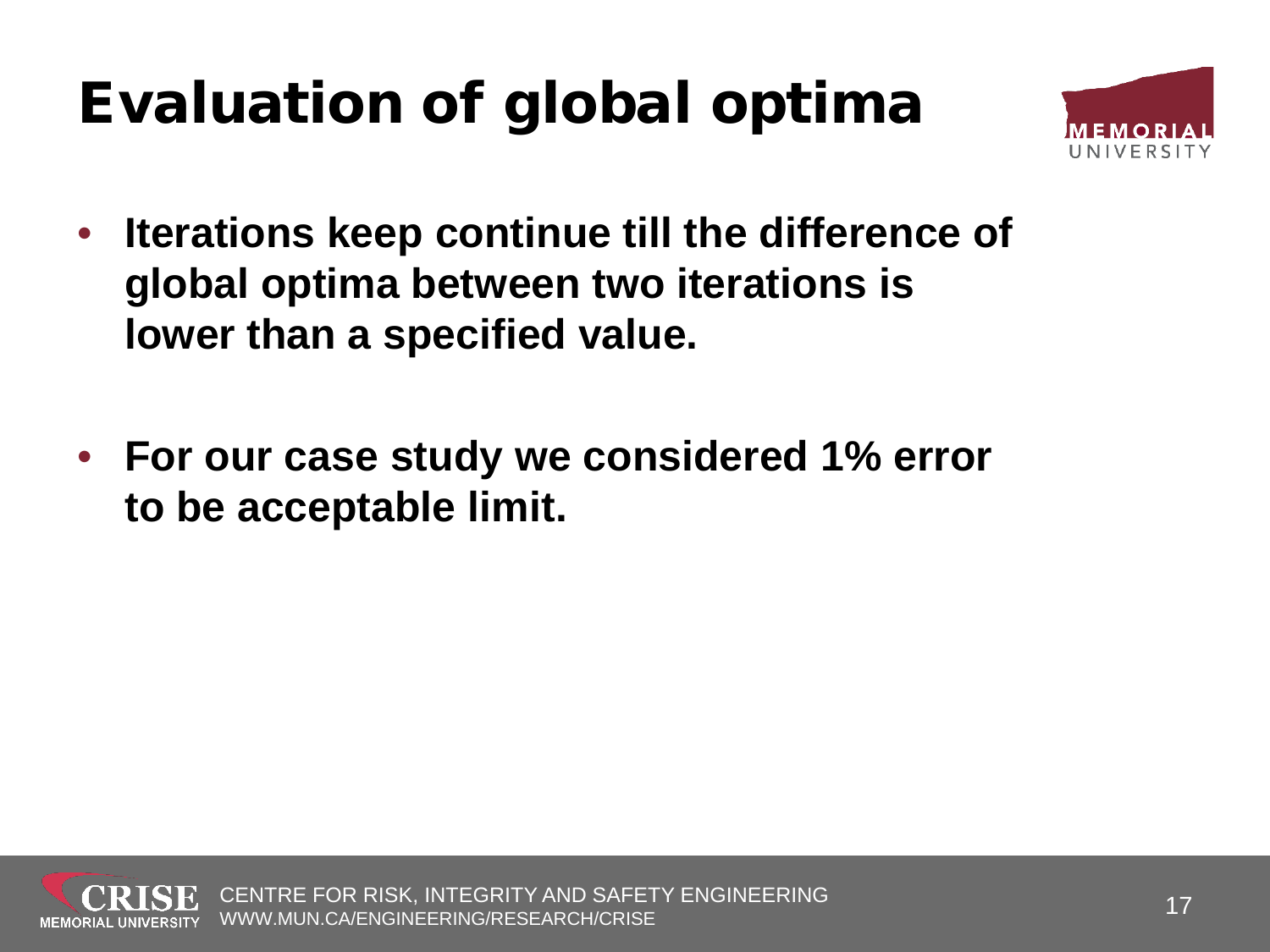### Evaluation of global optima



- **Iterations keep continue till the difference of global optima between two iterations is lower than a specified value.**
- **For our case study we considered 1% error to be acceptable limit.**

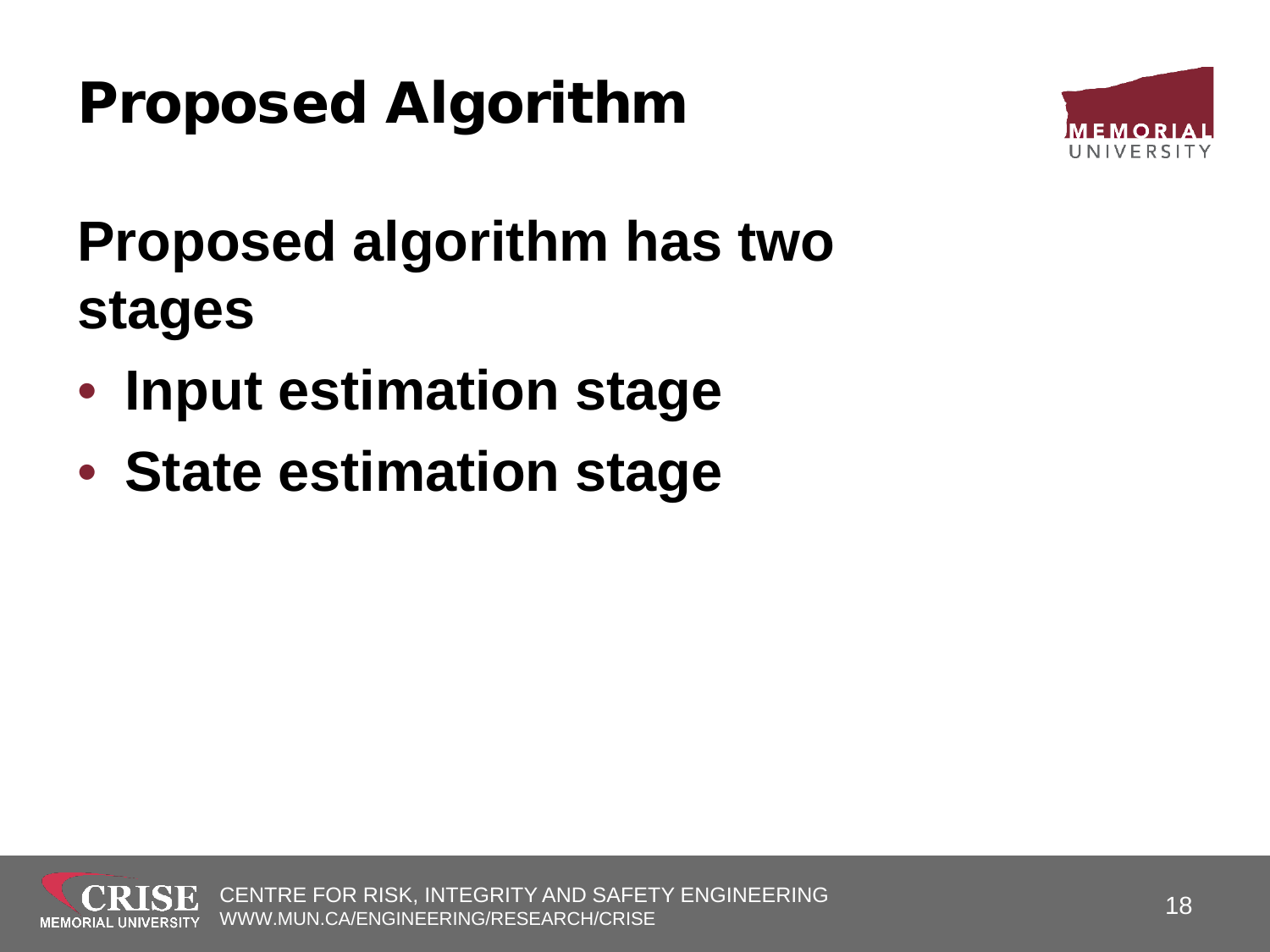### Proposed Algorithm



#### **Proposed algorithm has two stages**

- **Input estimation stage**
- **State estimation stage**

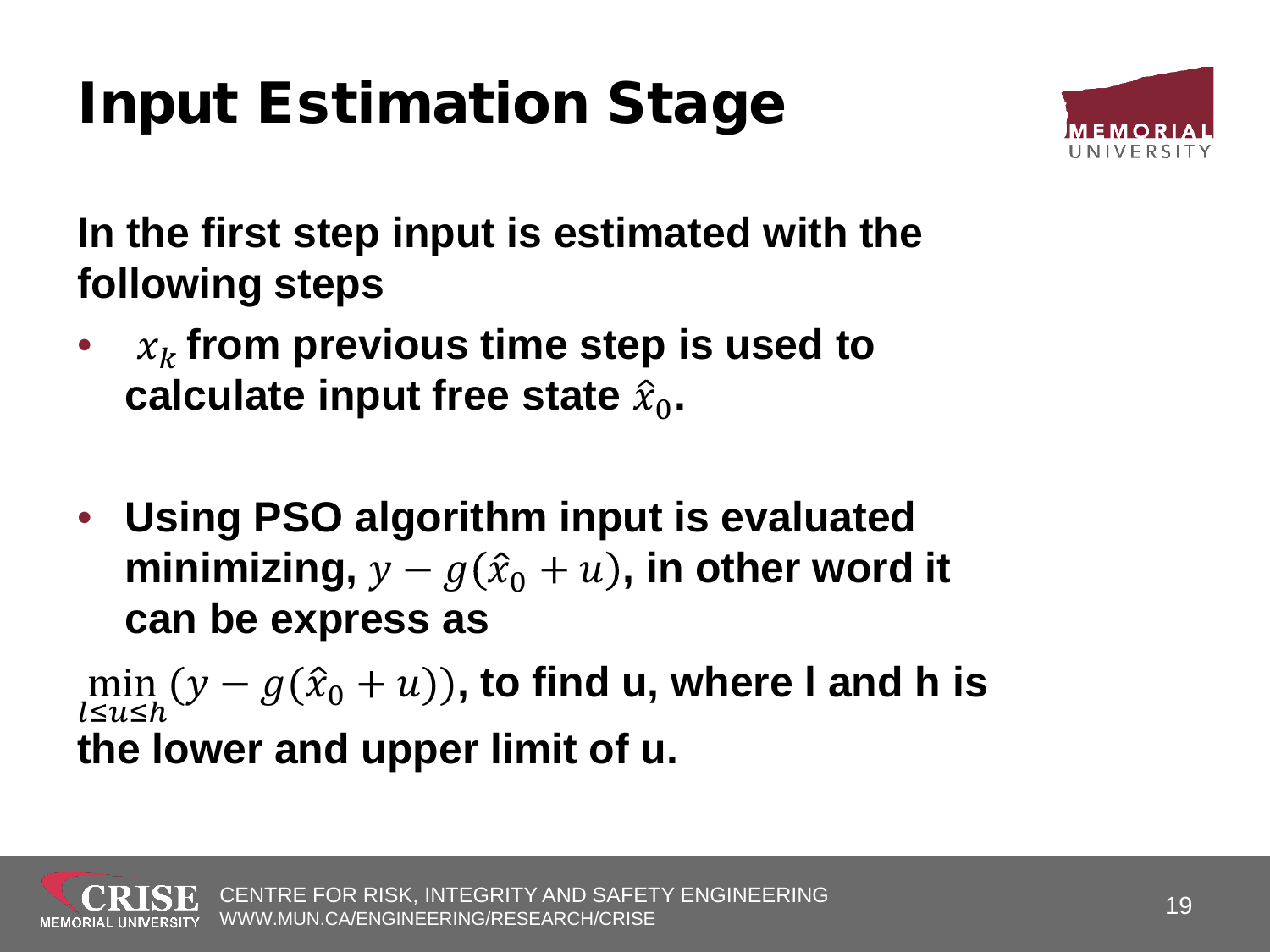## Input Estimation Stage



**In the first step input is estimated with the following steps**

- $x_k$  from previous time step is used to **calculate input free state**  � 0**.**
- **Using PSO algorithm input is evaluated**  minimizing,  $y - g(\hat{x}_0 + u)$ , in other word it **can be express as**

 $\min_{\{i,j\}}$  $l$ ≤ $u$ ≤h  $(y - g(\hat{x}_0 + u))$ , to find u, where I and h is **the lower and upper limit of u.**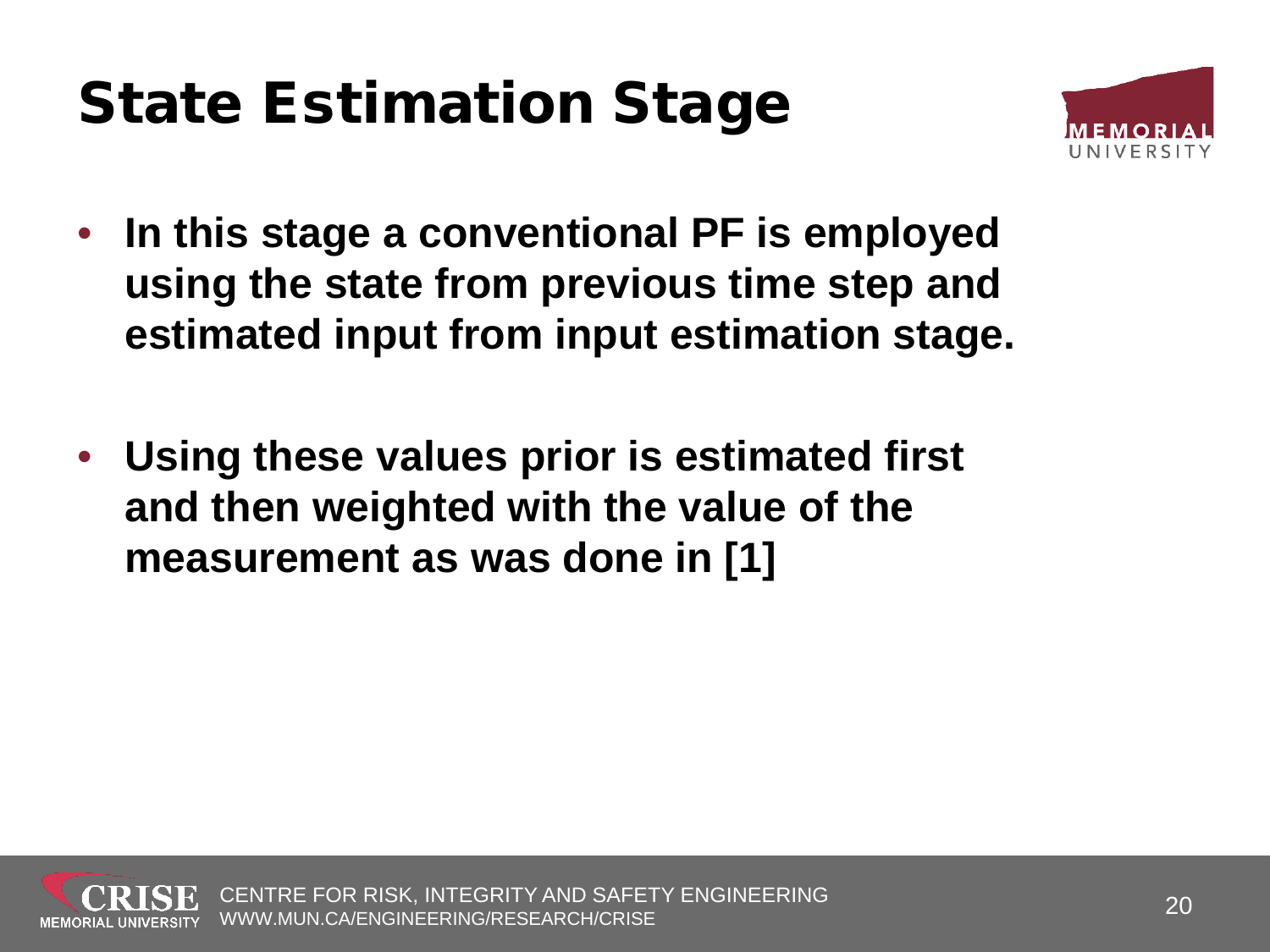#### State Estimation Stage



- **In this stage a conventional PF is employed using the state from previous time step and estimated input from input estimation stage.**
- **Using these values prior is estimated first and then weighted with the value of the measurement as was done in [1]**

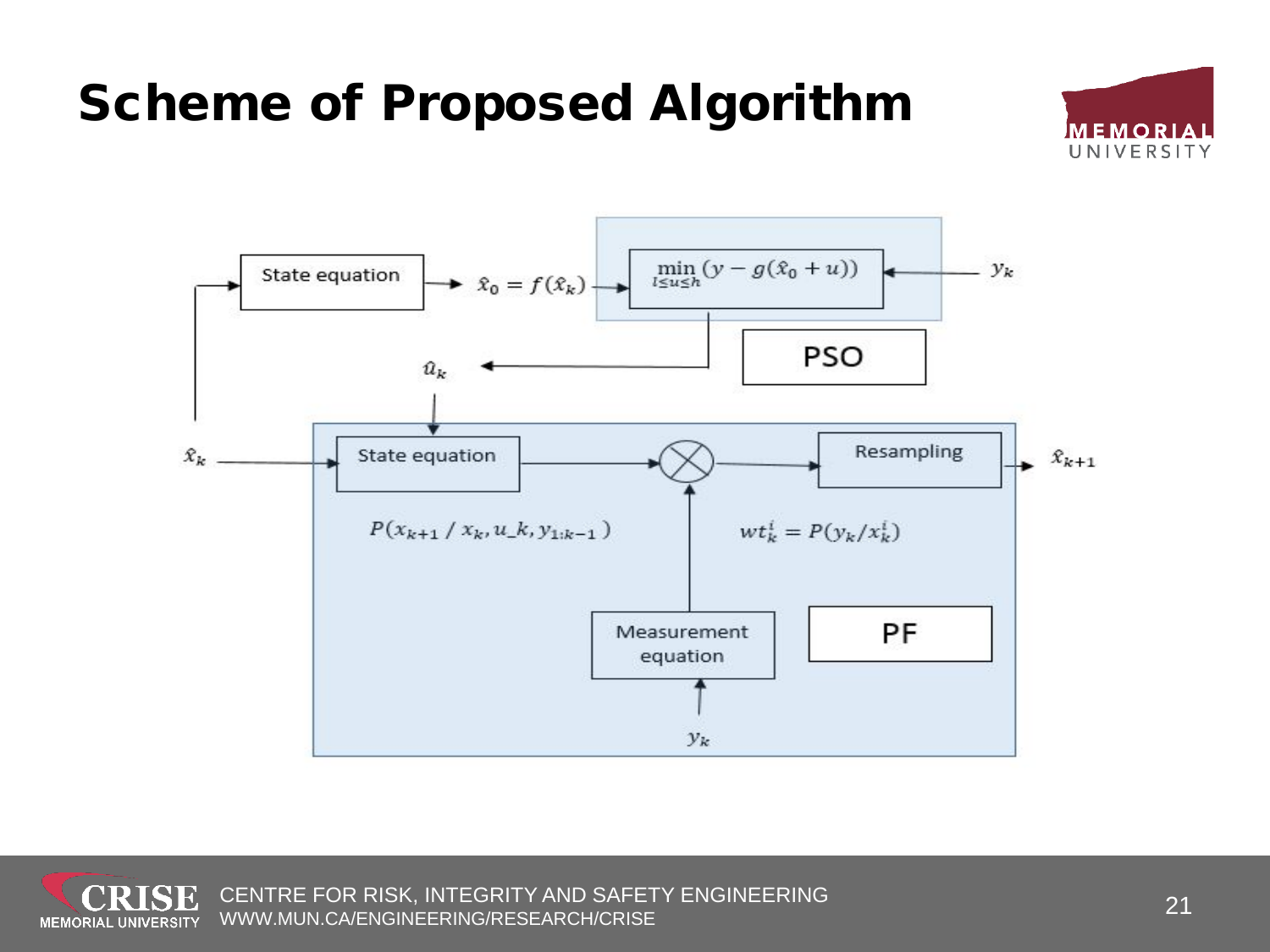#### $\min_{l\leq u\leq h}(y-g(\hat{x}_0+u))$ State equation  $\rightarrow \hat{x}_0 = f(\hat{x}_k)$ **PSO**

Scheme of Proposed Algorithm









 $-y_k$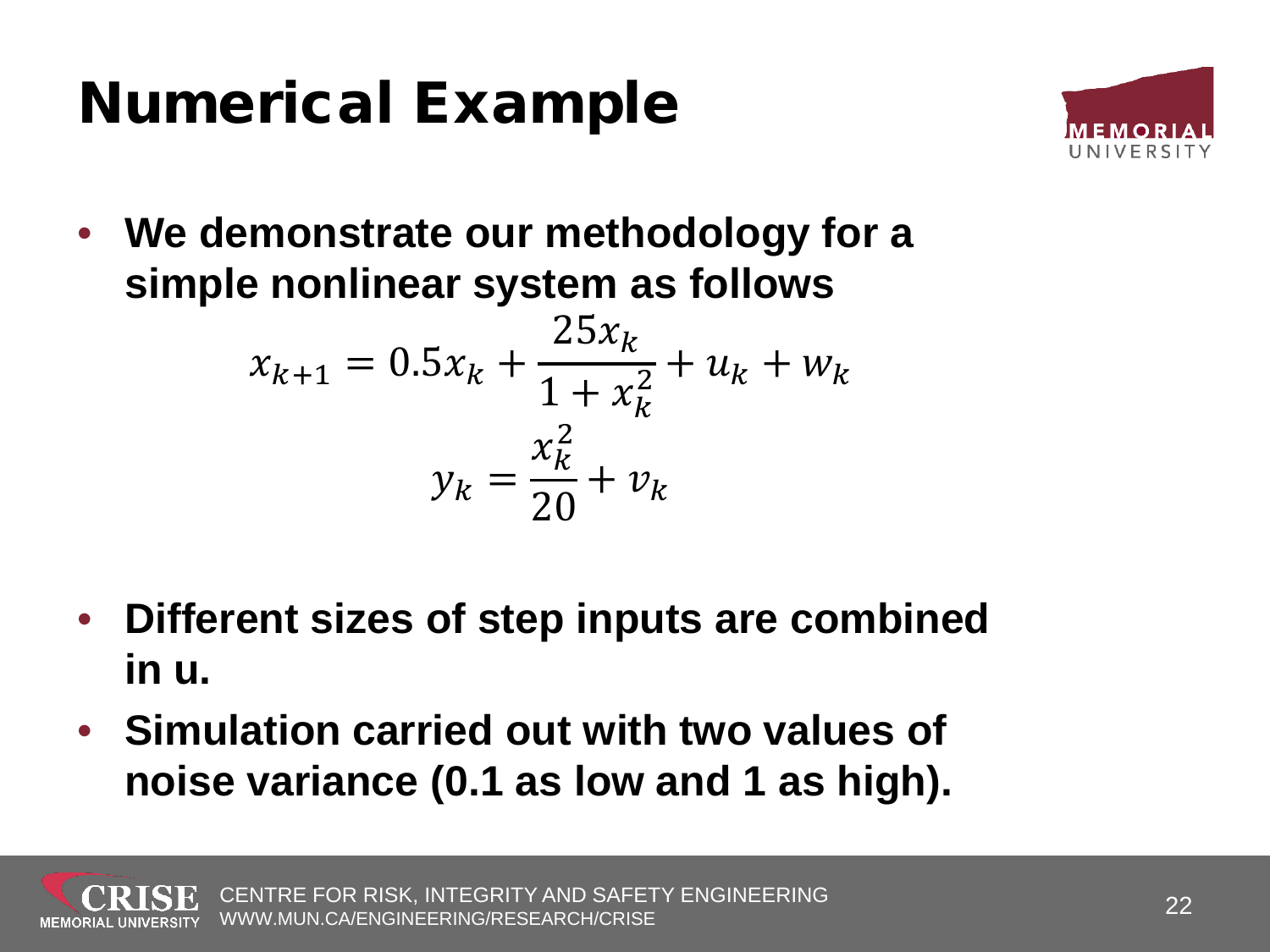#### Numerical Example



• **We demonstrate our methodology for a simple nonlinear system as follows**

$$
x_{k+1} = 0.5x_k + \frac{25x_k}{1 + x_k^2} + u_k + w_k
$$

$$
y_k = \frac{x_k^2}{20} + v_k
$$

- **Different sizes of step inputs are combined in u.**
- **Simulation carried out with two values of noise variance (0.1 as low and 1 as high).**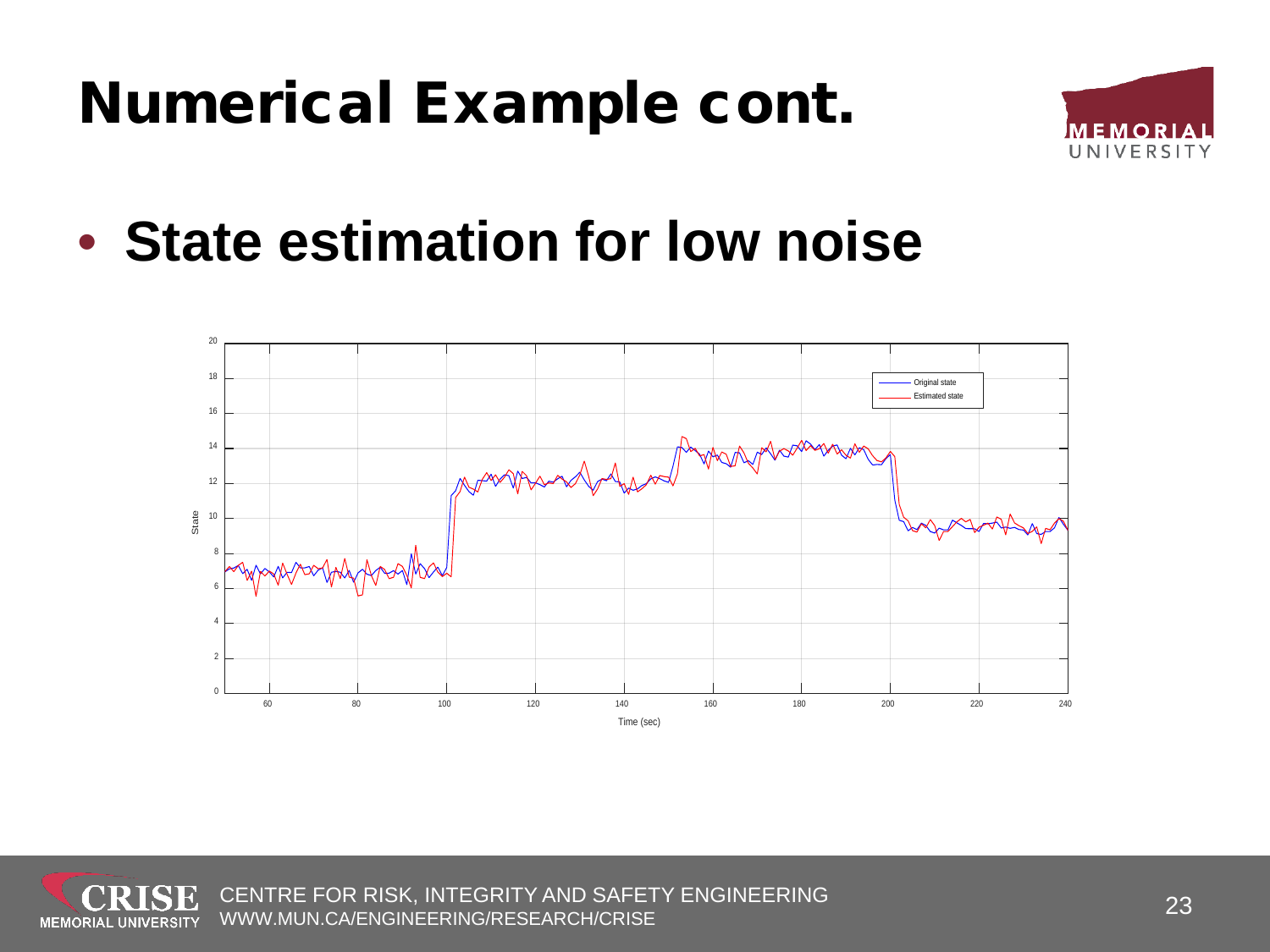

• **State estimation for low noise**



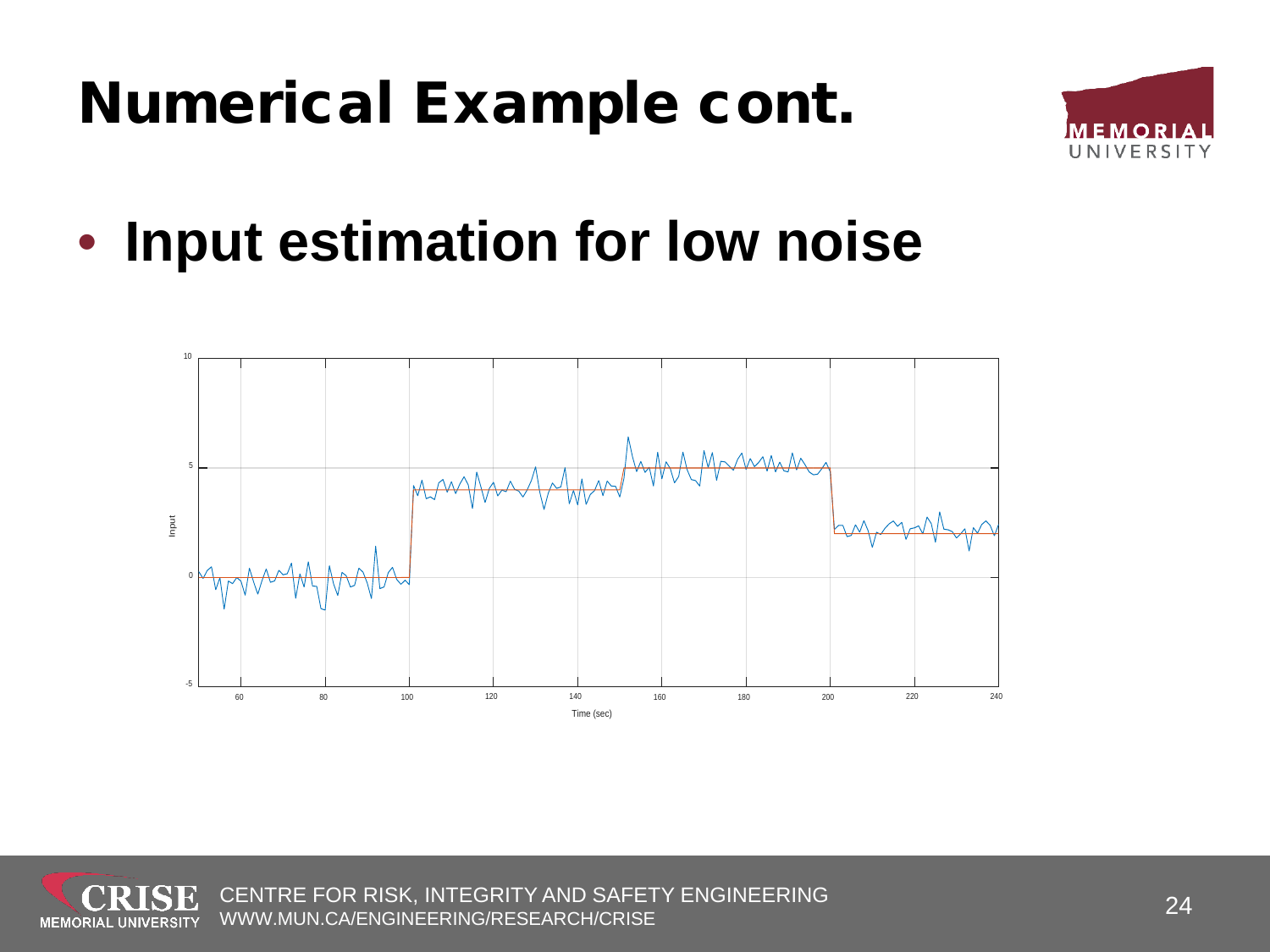

• **Input estimation for low noise**



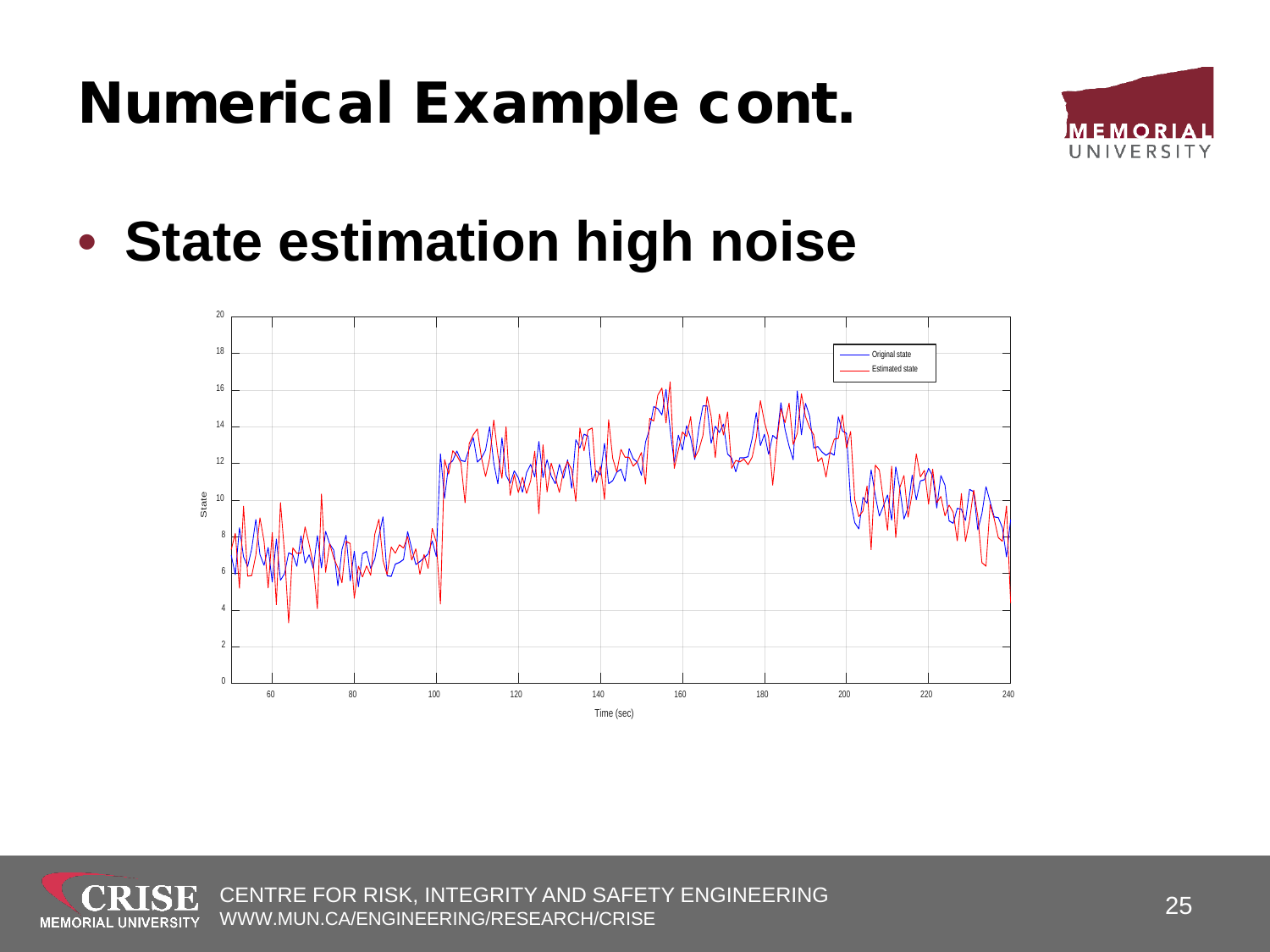

• **State estimation high noise**



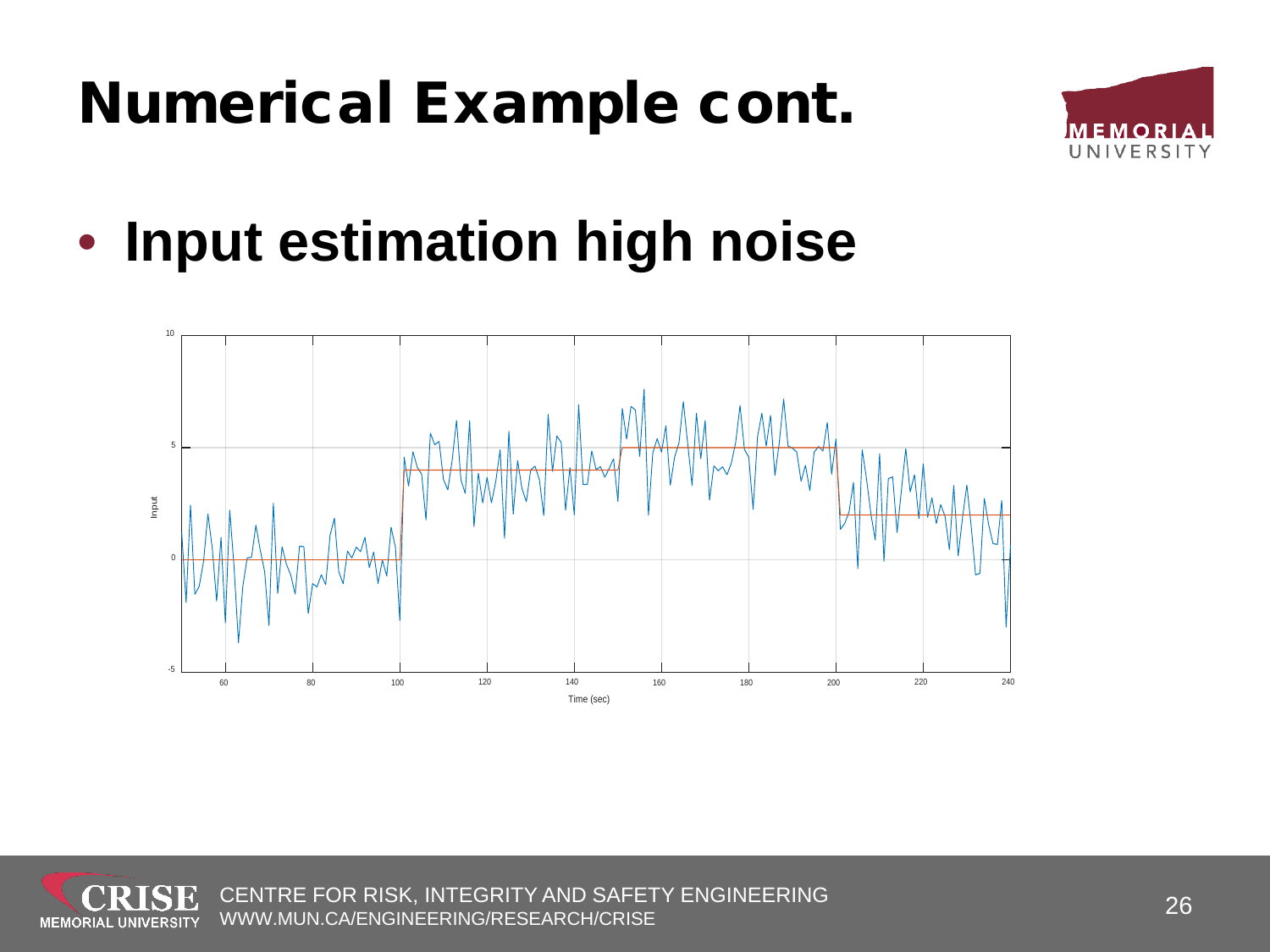

• **Input estimation high noise**

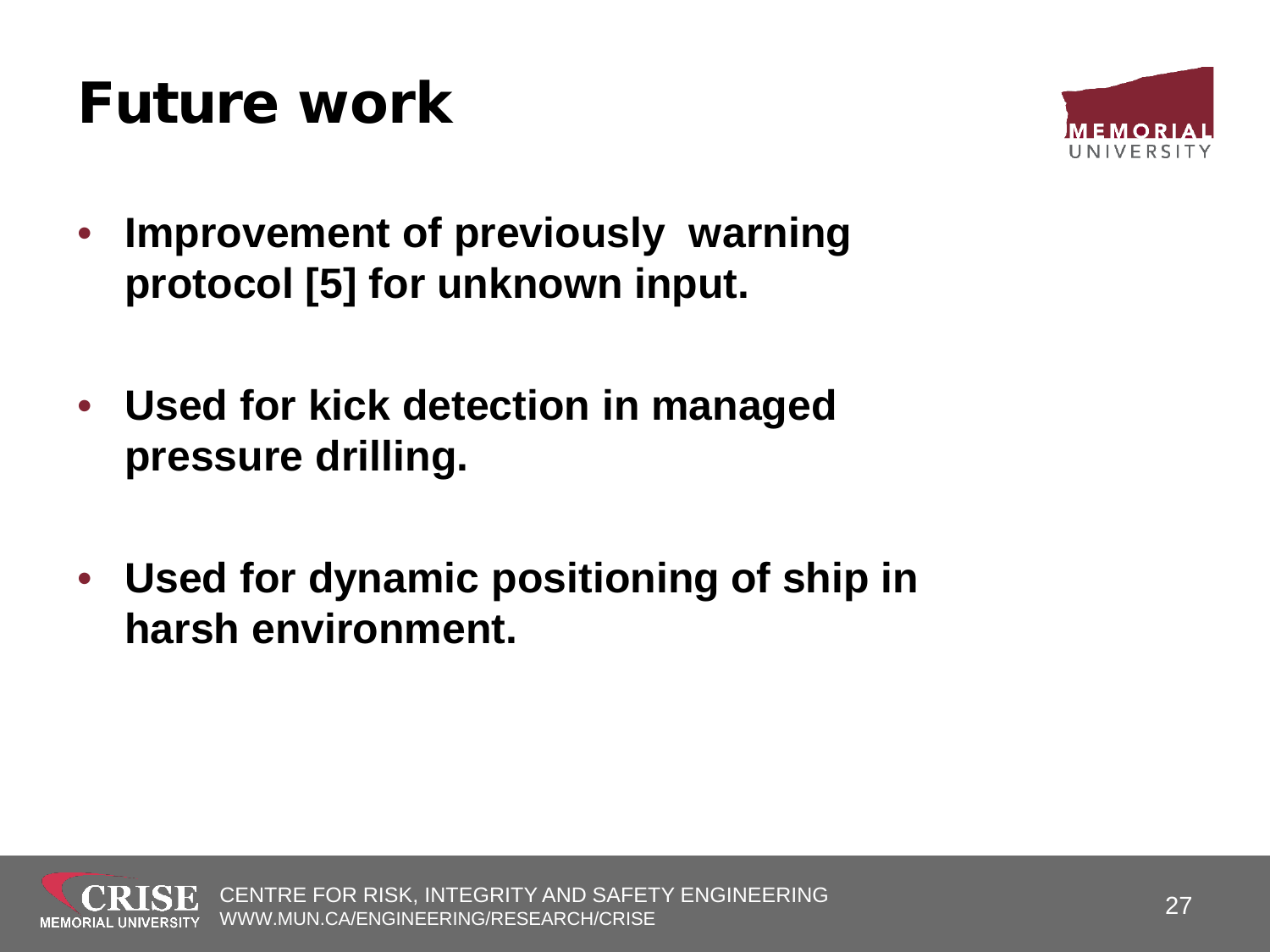#### Future work



- **Improvement of previously warning protocol [5] for unknown input.**
- **Used for kick detection in managed pressure drilling.**
- **Used for dynamic positioning of ship in harsh environment.**

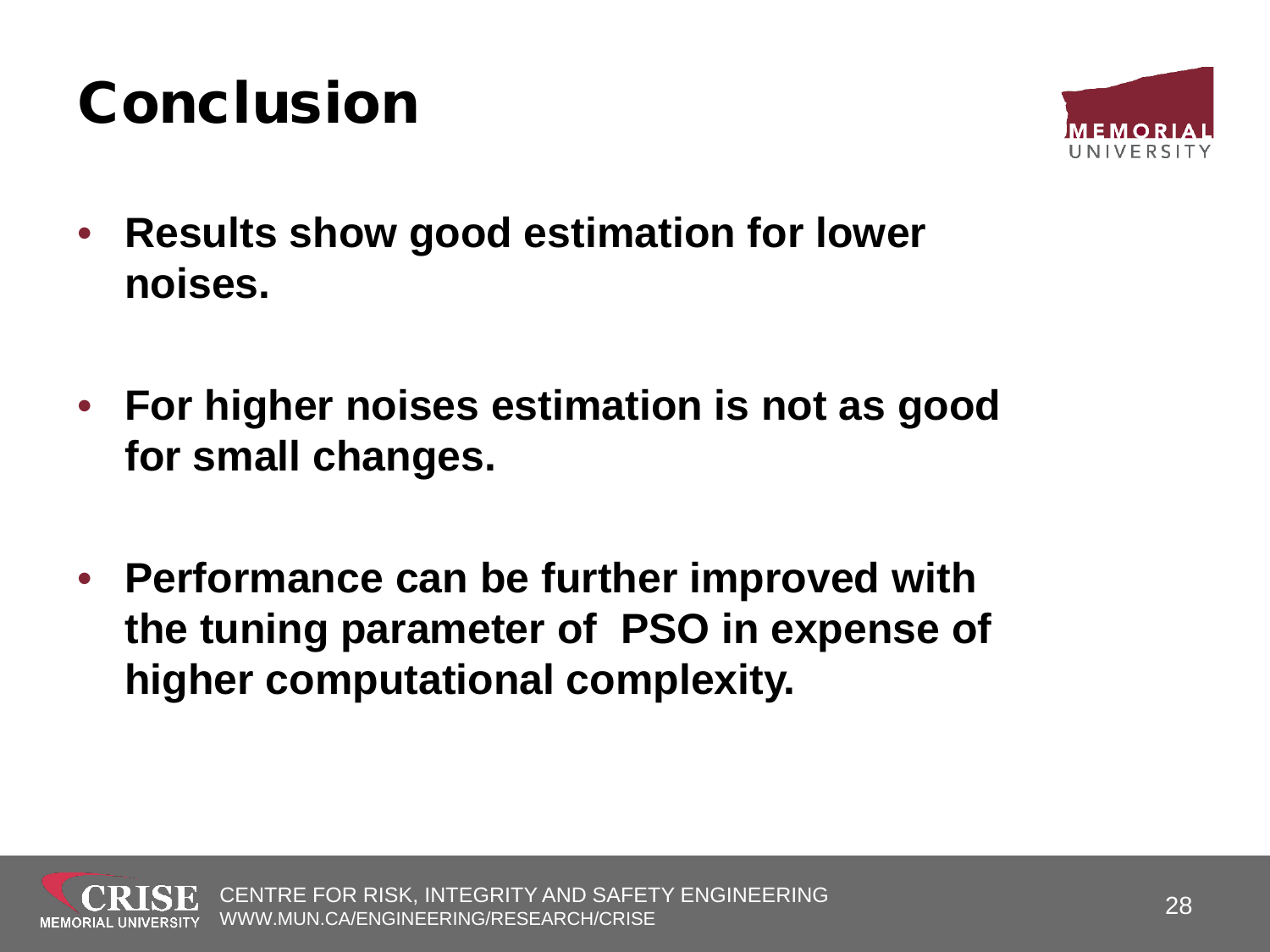#### Conclusion



- **Results show good estimation for lower noises.**
- **For higher noises estimation is not as good for small changes.**
- **Performance can be further improved with the tuning parameter of PSO in expense of higher computational complexity.**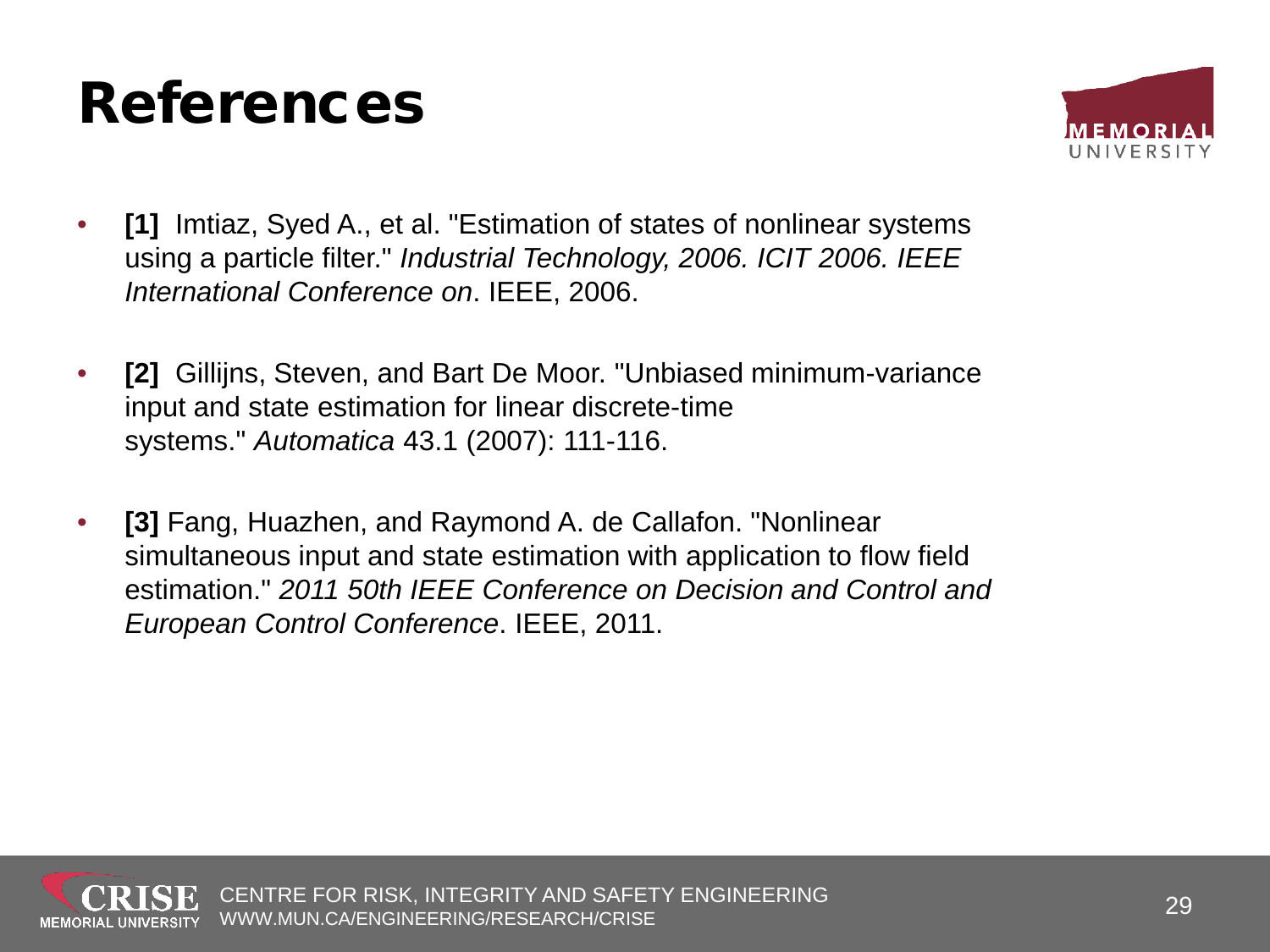#### References



- **[1]** Imtiaz, Syed A., et al. "Estimation of states of nonlinear systems using a particle filter." *Industrial Technology, 2006. ICIT 2006. IEEE International Conference on*. IEEE, 2006.
- **[2]** Gillijns, Steven, and Bart De Moor. "Unbiased minimum-variance input and state estimation for linear discrete-time systems." *Automatica* 43.1 (2007): 111-116.
- **[3]** Fang, Huazhen, and Raymond A. de Callafon. "Nonlinear simultaneous input and state estimation with application to flow field estimation." *2011 50th IEEE Conference on Decision and Control and European Control Conference*. IEEE, 2011.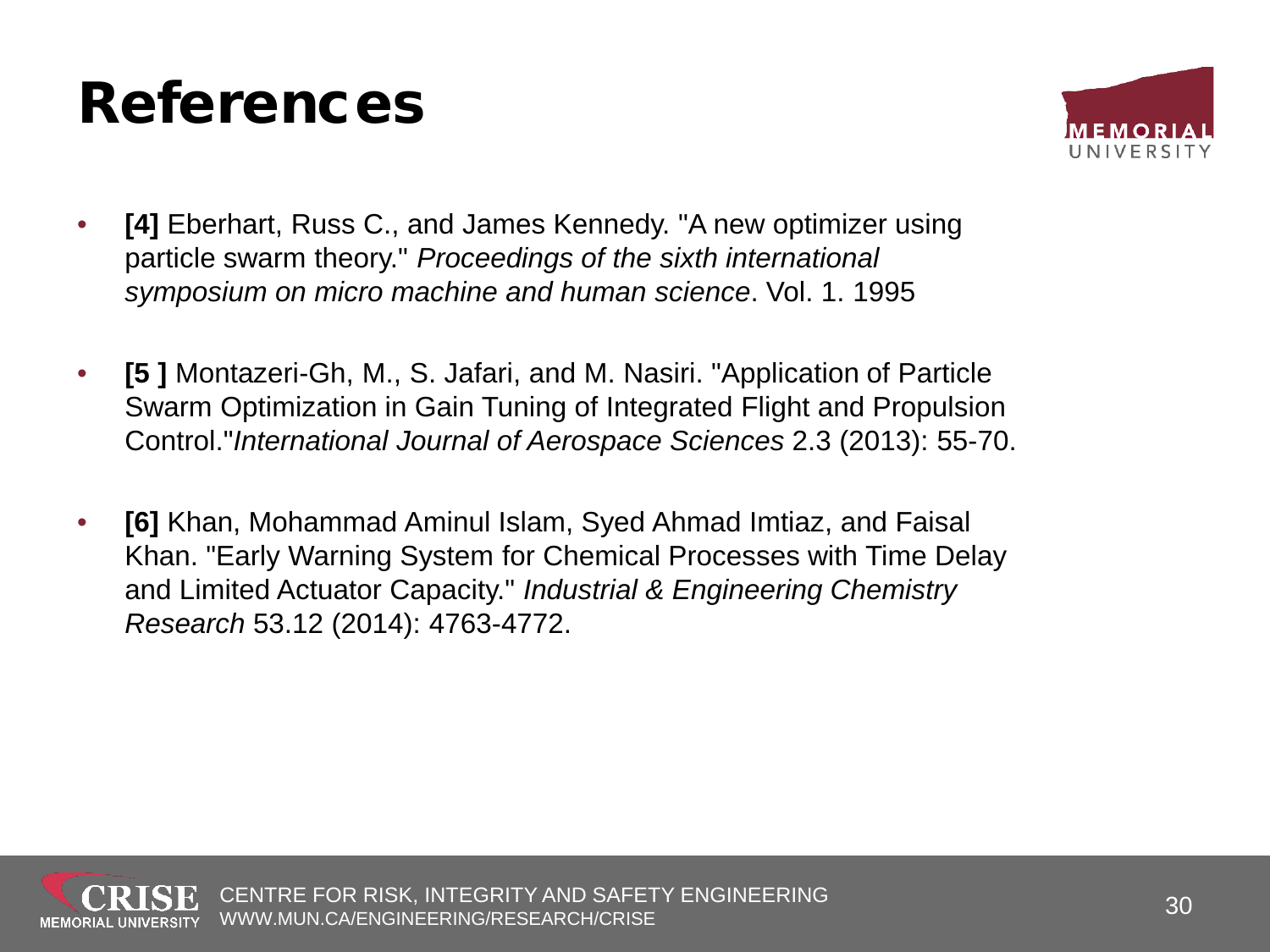#### References



- **[4]** Eberhart, Russ C., and James Kennedy. "A new optimizer using particle swarm theory." *Proceedings of the sixth international symposium on micro machine and human science*. Vol. 1. 1995
- **[5 ]** Montazeri-Gh, M., S. Jafari, and M. Nasiri. "Application of Particle Swarm Optimization in Gain Tuning of Integrated Flight and Propulsion Control."*International Journal of Aerospace Sciences* 2.3 (2013): 55-70.
- **[6]** Khan, Mohammad Aminul Islam, Syed Ahmad Imtiaz, and Faisal Khan. "Early Warning System for Chemical Processes with Time Delay and Limited Actuator Capacity." *Industrial & Engineering Chemistry Research* 53.12 (2014): 4763-4772.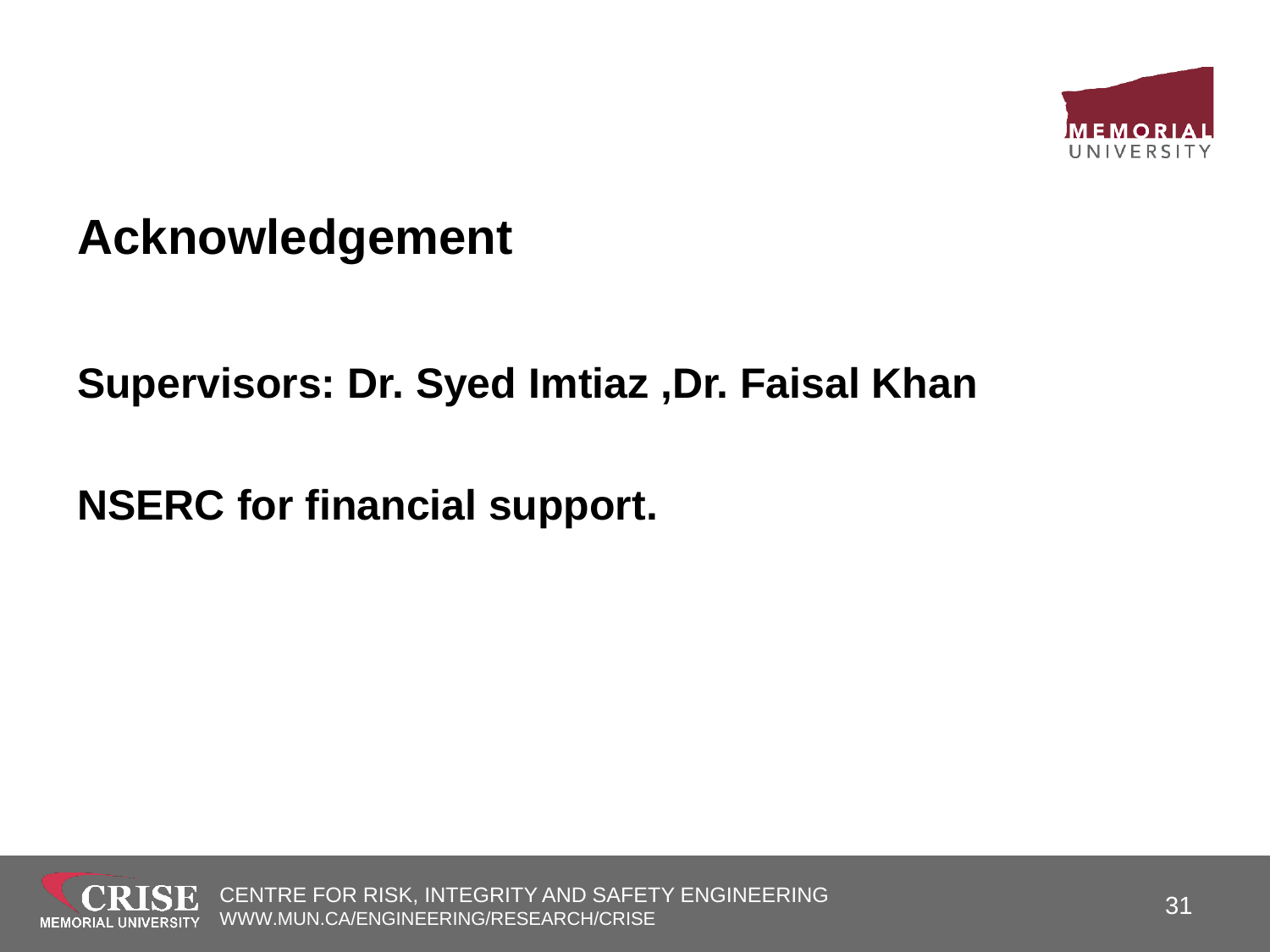

#### **Acknowledgement**

#### **Supervisors: Dr. Syed Imtiaz ,Dr. Faisal Khan**

**NSERC for financial support.**

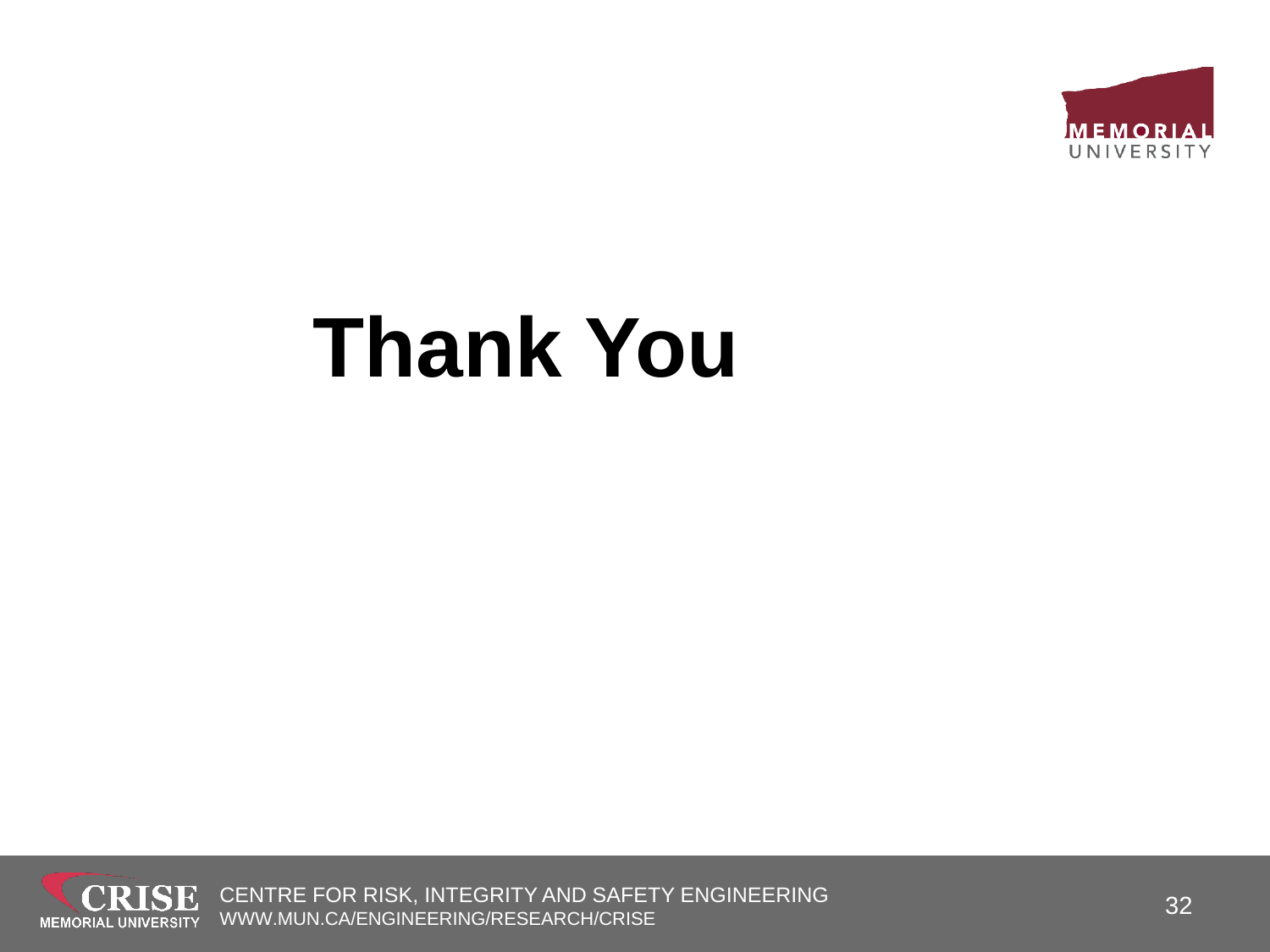

# **Thank You**